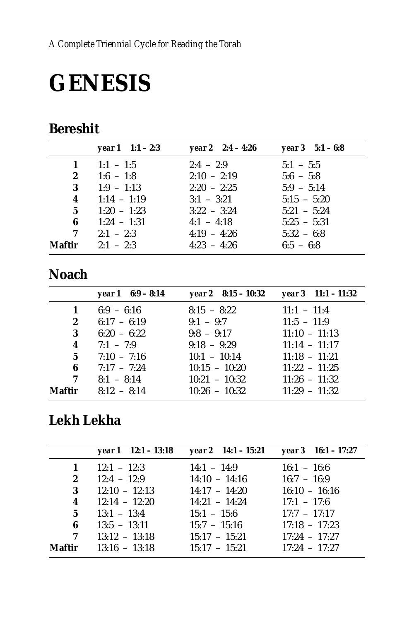# **GENESIS**

## **Bereshit**

|                         | <b>year 1</b> $1:1 - 2:3$ | year 2 $2:4 - 4:26$ | year $3 \quad 5:1 - 6:8$ |
|-------------------------|---------------------------|---------------------|--------------------------|
| 1                       | $1:1 - 1:5$               | $2:4 - 2:9$         | $5:1 - 5:5$              |
| $\boldsymbol{2}$        | $1:6 - 1:8$               | $2:10 - 2:19$       | $5:6 - 5:8$              |
| 3                       | $1:9 - 1:13$              | $2:20 - 2:25$       | $5:9 - 5:14$             |
| $\overline{\mathbf{4}}$ | $1:14 - 1:19$             | $3:1 - 3:21$        | $5:15 - 5:20$            |
| 5 <sup>5</sup>          | $1:20 - 1:23$             | $3:22 - 3:24$       | $5:21 - 5:24$            |
| 6                       | $1:24 - 1:31$             | $4:1 - 4:18$        | $5:25 - 5:31$            |
| 7                       | $2:1 - 2:3$               | $4:19 - 4:26$       | $5:32 - 6:8$             |
| Maftir                  | $2:1 - 2:3$               | $4:23 - 4:26$       | $6:5 - 6:8$              |

## **Noach**

|                  | year $1 \quad 6:9 - 8:14$ | year 2 $8:15 - 10:32$ | year $3 \quad 11:1 - 11:32$ |
|------------------|---------------------------|-----------------------|-----------------------------|
| 1                | $6:9 - 6:16$              | $8:15 - 8:22$         | $11:1 - 11:4$               |
| $\boldsymbol{2}$ | $6:17 - 6:19$             | $9:1 - 9:7$           | $11:5 - 11:9$               |
| 3                | $6:20 - 6:22$             | $9:8 - 9:17$          | $11:10 - 11:13$             |
| 4                | $7:1 - 7:9$               | $9:18 - 9:29$         | $11:14 - 11:17$             |
| 5                | $7:10 - 7:16$             | $10:1 - 10:14$        | $11:18 - 11:21$             |
| 6                | $7:17 - 7:24$             | $10:15 - 10:20$       | $11:22 - 11:25$             |
| 7                | $8:1 - 8:14$              | $10:21 - 10:32$       | $11:26 - 11:32$             |
| Maftir           | $8:12 - 8:14$             | $10:26 - 10:32$       | $11:29 - 11:32$             |

## Lekh Lekha

|                         | year $1 \quad 12:1 - 13:18$ | year 2 14:1 – 15:21 | year $3 \quad 16:1 - 17:27$ |
|-------------------------|-----------------------------|---------------------|-----------------------------|
| $\mathbf{1}$            | $12:1 - 12:3$               | $14:1 - 14:9$       | $16:1 - 16:6$               |
| $\mathbf{2}$            | $12:4 - 12:9$               | $14:10 - 14:16$     | $16:7 - 16:9$               |
| 3                       | $12:10 - 12:13$             | $14:17 - 14:20$     | $16:10 - 16:16$             |
| $\overline{\mathbf{4}}$ | $12:14 - 12:20$             | $14:21 - 14:24$     | $17:1 - 17:6$               |
| 5 <sup>5</sup>          | $13:1 - 13:4$               | $15:1 - 15:6$       | $17:7 - 17:17$              |
| 6                       | $13:5 - 13:11$              | $15:7 - 15:16$      | $17:18 - 17:23$             |
|                         | $7 \t 13:12 \t - 13:18$     | $15:17 - 15:21$     | $17:24 - 17:27$             |
| <b>Maftir</b>           | $13:16 - 13:18$             | $15:17 - 15:21$     | $17:24 - 17:27$             |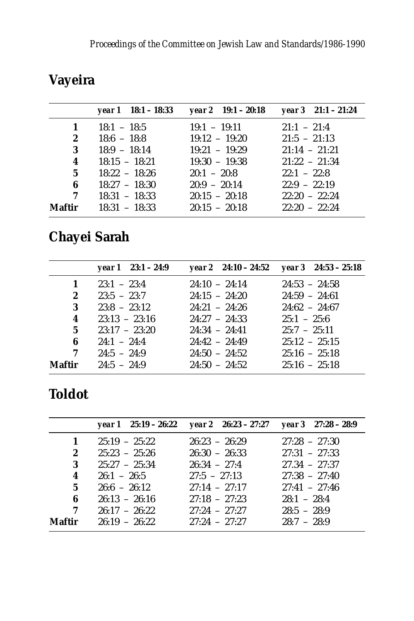|                | year $1 \quad 18:1 - 18:33$   | year 2 $19:1 - 20:18$ | year $3 \quad 21:1 - 21:24$ |
|----------------|-------------------------------|-----------------------|-----------------------------|
| $\mathbf{1}$   | $18:1 - 18:5$                 | $19:1 - 19:11$        | $21:1 - 21:4$               |
| $2^{\circ}$    | $18:6 - 18:8$ $19:12 - 19:20$ |                       | $21:5 - 21:13$              |
| 3              | $18:9 - 18:14$                | $19:21 - 19:29$       | $21:14 - 21:21$             |
| 4              | $18:15 - 18:21$               | $19:30 - 19:38$       | $21:22 - 21:34$             |
| 5 <sup>5</sup> | $18:22 - 18:26$               | $20:1 - 20:8$         | $22:1 - 22:8$               |
| 6              | $18:27 - 18:30$               | $20:9 - 20:14$        | $22:9 - 22:19$              |
| 7              | $18:31 - 18:33$               | $20:15 - 20:18$       | $22:20 - 22:24$             |
|                | <b>Maftir</b> $18:31 - 18:33$ | $20:15 - 20:18$       | $22:20 - 22:24$             |

# **Vayeira**

# **Chayei Sarah**

|                  | year $1 \quad 23:1 - 24:9$ | year 2 24:10 - 24:52 year 3 24:53 - 25:18 |                 |
|------------------|----------------------------|-------------------------------------------|-----------------|
| 1                | $23:1 - 23:4$              | $24:10 - 24:14$                           | $24:53 - 24:58$ |
| $\boldsymbol{2}$ | $23:5 - 23:7$              | $24:15 - 24:20$                           | $24:59 - 24:61$ |
| 3                | $23:8 - 23:12$             | $24:21 - 24:26$                           | $24:62 - 24:67$ |
| 4                | $23:13 - 23:16$            | $24.27 - 24.33$                           | $25:1 - 25:6$   |
| 5 <sup>5</sup>   | $23:17 - 23:20$            | $24:34 - 24:41$                           | $25:7 - 25:11$  |
| 6                | $24:1 - 24:4$              | $24:42 - 24:49$                           | $25:12 - 25:15$ |
| 7                | $24:5 - 24:9$              | $24:50 - 24:52$                           | $25:16 - 25:18$ |
| Maftir           | $24:5 - 24:9$              | $24:50 - 24:52$                           | $25:16 - 25:18$ |

## **Toldot**

|                |                 | year 1 $25:19 - 26:22$ year 2 $26:23 - 27:27$ year 3 $27:28 - 28:9$ |                 |
|----------------|-----------------|---------------------------------------------------------------------|-----------------|
| 1              | $25:19 - 25:22$ | $26:23 - 26:29$                                                     | $27:28 - 27:30$ |
| $\mathbf{2}$   | $25:23 - 25:26$ | $26:30 - 26:33$                                                     | $27:31 - 27:33$ |
| 3              | $25:27 - 25:34$ | $26:34 - 27:4$                                                      | $27.34 - 27:37$ |
| 4              | $26:1 - 26:5$   | $27:5 - 27:13$                                                      | $27:38 - 27:40$ |
| 5 <sup>5</sup> | $26:6 - 26:12$  | $27:14 - 27:17$                                                     | $27:41 - 27:46$ |
| 6              | $26:13 - 26:16$ | $27:18 - 27:23$                                                     | $28:1 - 28:4$   |
| 7              | $26:17 - 26:22$ | $27:24 - 27:27$                                                     | $28:5 - 28:9$   |
| Maftir         | $26:19 - 26:22$ | $27:24 - 27:27$                                                     | $28:7 - 28:9$   |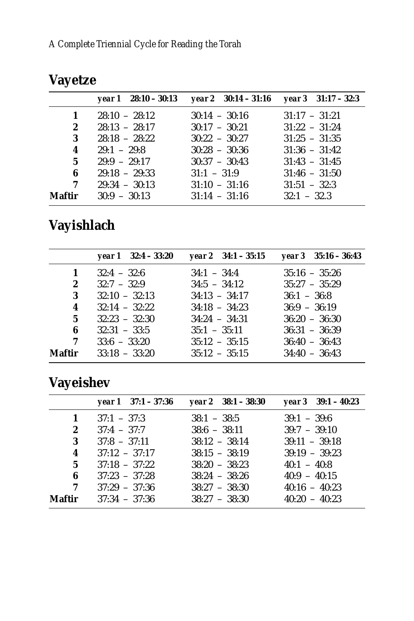|             | year $1 \quad 28:10 - 30:13$ | year 2 $30:14 - 31:16$ year 3 $31:17 - 32:3$ |                 |
|-------------|------------------------------|----------------------------------------------|-----------------|
| 1           | $28:10 - 28:12$              | $30:14 - 30:16$                              | $31:17 - 31:21$ |
| $2^{\circ}$ | $28:13 - 28:17$              | $30:17 - 30:21$                              | $31:22 - 31:24$ |
| 3           | $28:18 - 28:22$              | $30:22 - 30:27$                              | $31:25 - 31:35$ |
| 4           | $29:1 - 29:8$                | $30:28 - 30:36$                              | $31:36 - 31:42$ |
| 5           | $29.9 - 29.17$               | $30:37 - 30:43$                              | $31:43 - 31:45$ |
| 6           | $29:18 - 29:33$              | $31:1 - 31:9$                                | $31:46 - 31:50$ |
| 7           | $29:34 - 30:13$              | $31:10 - 31:16$                              | $31:51 - 32:3$  |
|             | <b>Maftir</b> $30:9 - 30:13$ | $31:14 - 31:16$                              | $32:1 - 32.3$   |

# **Vayetze**

# **Vayishlach**

|                         | year $1 \quad 32:4 - 33:20$ | year 2 $34:1 - 35:15$ | year $3\quad 35:16 - 36:43$ |
|-------------------------|-----------------------------|-----------------------|-----------------------------|
| 1                       | $32:4 - 32:6$               | $34:1 - 34:4$         | $35:16 - 35:26$             |
| $\mathbf{2}$            | $32:7 - 32:9$               | $34:5 - 34:12$        | $35:27 - 35:29$             |
| 3                       | $32:10 - 32:13$             | $34:13 - 34:17$       | $36:1 - 36:8$               |
| $\overline{\mathbf{4}}$ | $32:14 - 32:22$             | $34:18 - 34:23$       | $36:9 - 36:19$              |
| 5 <sup>5</sup>          | $32:23 - 32:30$             | $34:24 - 34:31$       | $36:20 - 36:30$             |
| 6                       | $32:31 - 33:5$              | $35:1 - 35:11$        | $36:31 - 36:39$             |
| $\overline{7}$          | $33:6 - 33:20$              | $35:12 - 35:15$       | $36:40 - 36:43$             |
| Maftir                  | $33:18 - 33:20$             | $35:12 - 35:15$       | $34:40 - 36:43$             |

# **Vayeishev**

|                         | year $1 \quad 37:1 - 37:36$ | year $2 \quad 38:1 - 38:30$ | year $3 \quad 39:1 - 40:23$ |
|-------------------------|-----------------------------|-----------------------------|-----------------------------|
| 1                       | $37:1 - 37:3$               | $38:1 - 38:5$               | $39:1 - 39:6$               |
| 2                       | $37:4 - 37:7$               | $38:6 - 38:11$              | $39:7 - 39:10$              |
| 3                       | $37:8 - 37:11$              | $38:12 - 38:14$             | $39:11 - 39:18$             |
| $\overline{\mathbf{4}}$ | $37:12 - 37:17$             | $38:15 - 38:19$             | $39:19 - 39:23$             |
| 5 <sup>5</sup>          | $37:18 - 37:22$             | $38:20 - 38:23$             | $40:1 - 40:8$               |
| 6                       | $37:23 - 37:28$             | $38:24 - 38:26$             | $40:9 - 40:15$              |
| 7                       | $37:29 - 37:36$             | $38:27 - 38:30$             | $40:16 - 40:23$             |
| Maftir                  | $37:34 - 37:36$             | $38:27 - 38:30$             | $40:20 - 40:23$             |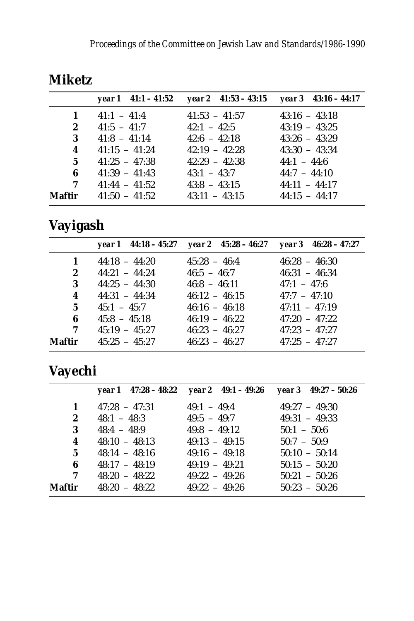|              |                 | year 1 $41:1 - 41:52$ year 2 $41:53 - 43:15$ year 3 $43:16 - 44:17$ |                 |
|--------------|-----------------|---------------------------------------------------------------------|-----------------|
| 1            | $41:1 - 41:4$   | $41:53 - 41:57$                                                     | $43:16 - 43:18$ |
| $\mathbf{2}$ | $41:5 - 41:7$   | $42:1 - 42:5$                                                       | $43:19 - 43:25$ |
| 3            | $41:8 - 41:14$  | $42:6 - 42:18$                                                      | $43:26 - 43:29$ |
| 4            | $41:15 - 41:24$ | $42:19 - 42:28$                                                     | $43:30 - 43:34$ |
| 5            | $41:25 - 47:38$ | $42:29 - 42:38$                                                     | $44:1 - 44:6$   |
| 6            | $41:39 - 41:43$ | $43:1 - 43:7$                                                       | $44:7 - 44:10$  |
| 7            | $41:44 - 41:52$ | $43:8 - 43:15$                                                      | $44:11 - 44:17$ |
| Maftir       | $41:50 - 41:52$ | $43:11 - 43:15$                                                     | $44:15 - 44:17$ |

#### **Miketz**

# **Vayigash**

|                |                 | year 1 44:18 - 45:27 year 2 45:28 - 46:27 year 3 46:28 - 47:27 |                 |
|----------------|-----------------|----------------------------------------------------------------|-----------------|
| 1              | $44:18 - 44:20$ | $45:28 - 46:4$                                                 | $46:28 - 46:30$ |
| $\mathbf{2}$   | $44:21 - 44:24$ | $46:5 - 46:7$                                                  | $46:31 - 46:34$ |
| 3              | $44:25 - 44:30$ | $46:8 - 46:11$                                                 | $47:1 - 47:6$   |
| 4              | $44:31 - 44:34$ | $46:12 - 46:15$                                                | $47:7 - 47:10$  |
| 5 <sup>5</sup> | $45:1 - 45:7$   | $46:16 - 46:18$                                                | $47:11 - 47:19$ |
| 6              | $45:8 - 45:18$  | $46:19 - 46:22$                                                | $47:20 - 47:22$ |
| 7              | $45:19 - 45:27$ | $46:23 - 46:27$                                                | $47:23 - 47:27$ |
| Maftir         | $45:25 - 45:27$ | $46:23 - 46:27$                                                | $47:25 - 47:27$ |

# **Vayechi**

|        |                 | year 1 $47:28 - 48:22$ year 2 $49:1 - 49:26$ | year $3\quad 49:27 - 50:26$ |
|--------|-----------------|----------------------------------------------|-----------------------------|
| 1      | $47:28 - 47:31$ | $49:1 - 49:4$                                | $49:27 - 49:30$             |
| 2      | $48:1 - 48:3$   | $49:5 - 49:7$                                | $49:31 - 49:33$             |
| 3      | $48:4 - 48:9$   | $49:8 - 49:12$                               | $50:1 - 50:6$               |
| 4      | $48:10 - 48:13$ | $49:13 - 49:15$                              | $50:7 - 50:9$               |
| 5      | $48:14 - 48:16$ | $49:16 - 49:18$                              | $50:10 - 50:14$             |
| 6      | $48:17 - 48:19$ | $49:19 - 49:21$                              | $50:15 - 50:20$             |
| 7      | $48:20 - 48:22$ | $49:22 - 49:26$                              | $50:21 - 50:26$             |
| Maftir | $48:20 - 48:22$ | $49:22 - 49:26$                              | $50:23 - 50:26$             |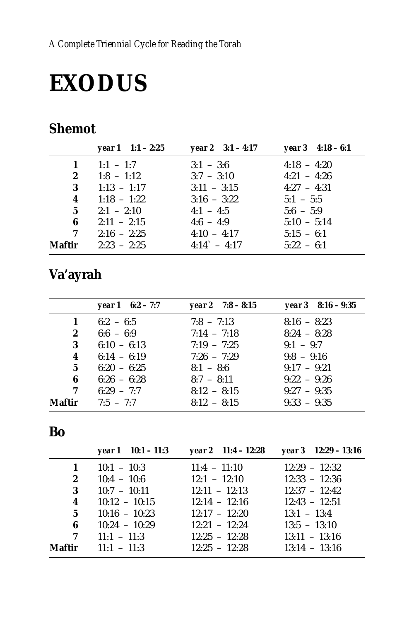# **EXODUS**

## **Shemot**

|                | year $1 \t1:1 - 2:25$ | year 2 $3:1 - 4:17$   | year $3\quad 4:18-6:1$ |
|----------------|-----------------------|-----------------------|------------------------|
|                | 1 $1:1 - 1:7$         | $3:1 - 3:6$           | $4:18 - 4:20$          |
| $\mathbf{2}$   | $1:8 - 1:12$          | $3:7 - 3:10$          | $4:21 - 4:26$          |
| 3 <sup>1</sup> | $1:13 - 1:17$         | $3:11 - 3:15$         | $4:27 - 4:31$          |
| 4              | $1:18 - 1:22$         | $3:16 - 3:22$         | $5:1 - 5:5$            |
| 5 <sup>5</sup> | $2:1 - 2:10$          | $4:1 - 4:5$           | $5:6 - 5:9$            |
| 6              | $2:11 - 2:15$         | $4:6 - 4:9$           | $5:10 - 5:14$          |
| 7              | $2:16 - 2:25$         | $4:10 - 4:17$         | $5:15 - 6:1$           |
| Maftir         | $2:23 - 2:25$         | $4:14^{\circ} - 4:17$ | $5:22 - 6:1$           |

# Va'ayrah

|        | year $1 \quad 6:2 - 7:7$ | year 2 $7:8-8:15$ | year $3$ 8:16 – 9:35 |
|--------|--------------------------|-------------------|----------------------|
| 1      | $6:2 - 6:5$              | $7:8 - 7:13$      | $8:16 - 8:23$        |
| 2      | $6:6 - 6:9$              | $7:14 - 7:18$     | $8:24 - 8:28$        |
| 3      | $6:10 - 6:13$            | $7:19 - 7:25$     | $9:1 - 9:7$          |
| 4      | $6:14 - 6:19$            | $7:26 - 7:29$     | $9:8 - 9:16$         |
| 5      | $6:20 - 6:25$            | $8:1 - 8:6$       | $9:17 - 9:21$        |
| 6      | $6:26 - 6:28$            | $8:7 - 8:11$      | $9:22 - 9:26$        |
| 7      | $6:29 - 7:7$             | $8:12 - 8:15$     | $9:27 - 9:35$        |
| Maftir | $7:5 - 7:7$              | $8:12 - 8:15$     | $9:33 - 9:35$        |

#### Bo

|                  | year $1 \quad 10:1 - 11:3$ | year 2 $11:4 - 12:28$ | year $3 \quad 12:29 - 13:16$ |
|------------------|----------------------------|-----------------------|------------------------------|
| $\mathbf{1}$     | $10:1 - 10:3$              | $11:4 - 11:10$        | $12:29 - 12:32$              |
| $\boldsymbol{2}$ | $10:4 - 10:6$              | $12:1 - 12:10$        | $12:33 - 12:36$              |
| 3                | $10:7 - 10:11$             | $12:11 - 12:13$       | $12:37 - 12:42$              |
| 4                | $10:12 - 10:15$            | $12:14 - 12:16$       | $12:43 - 12:51$              |
| 5 <sup>5</sup>   | $10:16 - 10:23$            | $12:17 - 12:20$       | $13:1 - 13:4$                |
| 6                | $10:24 - 10:29$            | $12:21 - 12:24$       | $13:5 - 13:10$               |
| 7                | $11:1 - 11:3$              | $12:25 - 12:28$       | $13:11 - 13:16$              |
| Maftir           | $11:1 - 11:3$              | $12:25 - 12:28$       | $13:14 - 13:16$              |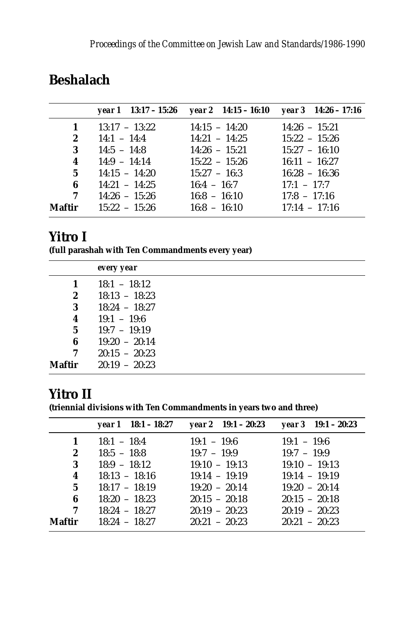|                |                               | year 1 $13:17 - 15:26$ year 2 $14:15 - 16:10$ year 3 $14:26 - 17:16$ |                 |
|----------------|-------------------------------|----------------------------------------------------------------------|-----------------|
| $\mathbf{1}$   | $13:17 - 13:22$               | $14:15 - 14:20$                                                      | $14:26 - 15:21$ |
| $\mathbf{2}$   | $14:1 - 14:4$ $14:21 - 14:25$ |                                                                      | $15:22 - 15:26$ |
| 3              | $14:5 - 14:8$ $14:26 - 15:21$ |                                                                      | $15:27 - 16:10$ |
| 4              | $14:9 - 14:14$                | $15:22 - 15:26$                                                      | $16:11 - 16:27$ |
| 5 <sup>1</sup> | $14:15 - 14:20$               | $15:27 - 16:3$                                                       | $16:28 - 16:36$ |
| 6              | $14:21 - 14:25$               | $16:4 - 16:7$                                                        | $17:1 - 17:7$   |
| 7              | $14:26 - 15:26$               | $16:8 - 16:10$                                                       | $17:8 - 17:16$  |
| Maftir         | $15:22 - 15:26$               | $16:8 - 16:10$                                                       | $17:14 - 17:16$ |

#### **Beshalach**

#### **Yitro I**

**(full parashah with Ten Commandments every year)**

|        | every year      |
|--------|-----------------|
| 1      | $18:1 - 18:12$  |
| 2      | $18:13 - 18:23$ |
| 3      | $18:24 - 18:27$ |
| 4      | $19:1 - 19:6$   |
| 5      | $19:7 - 19:19$  |
| 6      | $19:20 - 20:14$ |
| 7      | $20:15 - 20:23$ |
| Maftir | $20:19 - 20:23$ |

#### **Yitro II**

**(triennial divisions with Ten Commandments in years two and three)**

|                | year $1 \quad 18:1 - 18:27$ | year $2 \quad 19:1 - 20:23$ | year $3 \quad 19:1 - 20:23$ |
|----------------|-----------------------------|-----------------------------|-----------------------------|
| 1              | $18:1 - 18:4$               | $19:1 - 19:6$               | $19:1 - 19:6$               |
| $\mathbf{2}$   | $18:5 - 18:8$               | $19:7 - 19:9$               | $19:7 - 19:9$               |
| 3              | $18:9 - 18:12$              | $19:10 - 19:13$             | $19:10 - 19:13$             |
| 4              | $18:13 - 18:16$             | $19:14 - 19:19$             | $19:14 - 19:19$             |
| 5 <sup>5</sup> | $18:17 - 18:19$             | $19:20 - 20:14$             | $19:20 - 20:14$             |
| 6              | $18:20 - 18:23$             | $20:15 - 20:18$             | $20:15 - 20:18$             |
| 7              | $18:24 - 18:27$             | $20:19 - 20:23$             | $20:19 - 20:23$             |
| <b>Maftir</b>  | $18:24 - 18:27$             | $20:21 - 20:23$             | $20:21 - 20:23$             |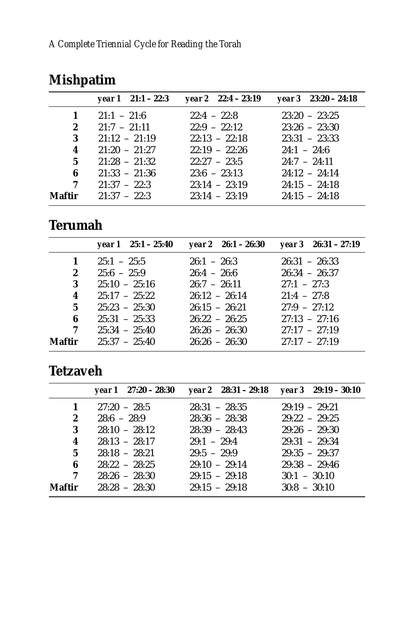|              | year $1 \quad 21:1 - 22:3$   | year $2 \quad 22:4 - 23:19$ | year $3\quad 23:20 - 24:18$ |
|--------------|------------------------------|-----------------------------|-----------------------------|
| $\mathbf{1}$ | $21:1 - 21:6$                | $22.4 - 22.8$               | $23:20 - 23:25$             |
| $2^{\circ}$  | $21:7 - 21:11$               | $22:9 - 22:12$              | $23:26 - 23:30$             |
| 3            | $21:12 - 21:19$              | $22:13 - 22:18$             | $23:31 - 23:33$             |
| 4            | $21:20 - 21:27$              | $22:19 - 22:26$             | $24:1 - 24:6$               |
| 5.           | $21:28 - 21:32$              | $22:27 - 23:5$              | $24:7 - 24:11$              |
| 6            | $21:33 - 21:36$              | $23:6 - 23:13$              | $24:12 - 24:14$             |
| 7            | $21:37 - 22:3$               | $23:14 - 23:19$             | $24:15 - 24:18$             |
|              | <b>Maftir</b> $21:37 - 22:3$ | $23:14 - 23:19$             | $24:15 - 24:18$             |

# **Mishpatim**

## **Terumah**

|                | year $1 \quad 25:1 - 25:40$ | year 2 26:1 – 26:30 | $year 3 26:31 - 27:19$ |
|----------------|-----------------------------|---------------------|------------------------|
| 1              | $25:1 - 25:5$               | $26:1 - 26:3$       | $26:31 - 26:33$        |
| $2^{\circ}$    | $25:6 - 25:9$               | $26:4 - 26:6$       | $26:34 - 26:37$        |
| 3              | $25:10 - 25:16$             | $26:7 - 26:11$      | $27:1 - 27:3$          |
| 4              | $25:17 - 25:22$             | $26:12 - 26:14$     | $21:4 - 27:8$          |
| 5 <sup>5</sup> | $25:23 - 25:30$             | $26:15 - 26:21$     | $27:9 - 27:12$         |
| 6              | $25:31 - 25:33$             | $26:22 - 26:25$     | $27:13 - 27:16$        |
| 7              | $25:34 - 25:40$             | $26:26 - 26:30$     | $27:17 - 27:19$        |
| Maftir         | $25:37 - 25:40$             | $26:26 - 26:30$     | $27.17 - 27.19$        |

# **Tetzaveh**

|               | year $1 \quad 27:20 - 28:30$ |                 | year $2 \quad 28:31 - 29:18$ year $3 \quad 29:19 - 30:10$ |
|---------------|------------------------------|-----------------|-----------------------------------------------------------|
| 1             | $27:20 - 28:5$               | $28:31 - 28:35$ | $29:19 - 29:21$                                           |
| 2             | $28:6 - 28:9$                | $28:36 - 28:38$ | $29:22 - 29:25$                                           |
| 3             | $28:10 - 28:12$              | $28:39 - 28:43$ | $29:26 - 29:30$                                           |
| 4             | $28:13 - 28:17$              | $29:1 - 29:4$   | $29:31 - 29:34$                                           |
| $5^{\circ}$   | $28:18 - 28:21$              | $29:5 - 29:9$   | $29:35 - 29:37$                                           |
| 6             | $28:22 - 28:25$              | $29:10 - 29:14$ | $29:38 - 29:46$                                           |
| 7             | $28:26 - 28:30$              | $29:15 - 29:18$ | $30:1 - 30:10$                                            |
| <b>Maftir</b> | $28:28 - 28:30$              | $29:15 - 29:18$ | $30:8 - 30:10$                                            |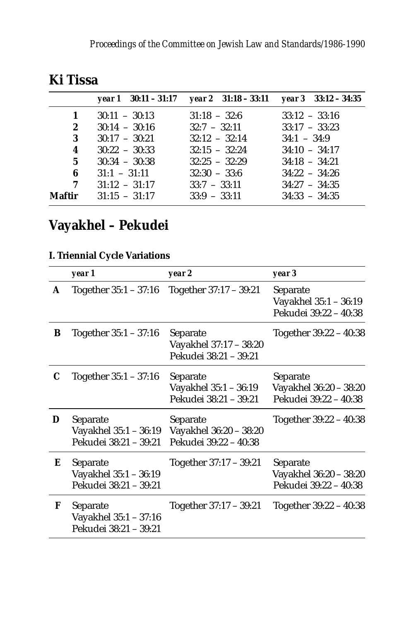|              | $year 1 \quad 30:11 - 31:17$ | year $2 \quad 31:18 - 33:11$ year $3 \quad 33:12 - 34:35$ |                 |
|--------------|------------------------------|-----------------------------------------------------------|-----------------|
| $\mathbf{1}$ | $30:11 - 30:13$              | $31:18 - 32:6$                                            | $33:12 - 33:16$ |
| $\mathbf{2}$ | $30:14 - 30:16$              | $32:7 - 32:11$                                            | $33:17 - 33:23$ |
| 3            | $30:17 - 30:21$              | $32:12 - 32:14$                                           | $34:1 - 34:9$   |
| 4            | $30:22 - 30:33$              | $32:15 - 32:24$                                           | $34:10 - 34:17$ |
| 5            | $30:34 - 30:38$              | $32:25 - 32:29$                                           | $34:18 - 34:21$ |
| 6            | $31:1 - 31:11$               | $32:30 - 33:6$                                            | $34:22 - 34:26$ |
| 7            | $31:12 - 31:17$              | $33:7 - 33:11$                                            | $34:27 - 34:35$ |
| Maftir       | $31:15 - 31:17$              | $33:9 - 33:11$                                            | $34:33 - 34:35$ |
|              |                              |                                                           |                 |

#### **Ki Tissa**

# **Vayakhel – Pekudei**

#### **I. Triennial Cycle Variations**

|   | year 1                                                     | year 2                                                      | year 3                                                      |
|---|------------------------------------------------------------|-------------------------------------------------------------|-------------------------------------------------------------|
| A | Together 35:1 – 37:16                                      | Together 37:17 - 39:21                                      | Separate<br>Vayakhel 35:1 - 36:19<br>Pekudei 39:22 - 40:38  |
| B | Together $35:1 - 37:16$                                    | Separate<br>Vayakhel 37:17 - 38:20<br>Pekudei 38:21 - 39:21 | Together 39:22 - 40:38                                      |
| C | Together $35:1 - 37:16$                                    | Separate<br>Vayakhel 35:1 - 36:19<br>Pekudei 38:21 - 39:21  | Separate<br>Vayakhel 36:20 - 38:20<br>Pekudei 39:22 - 40:38 |
| D | Separate<br>Vayakhel 35:1 - 36:19<br>Pekudei 38:21 - 39:21 | Separate<br>Vayakhel 36:20 - 38:20<br>Pekudei 39:22 - 40:38 | Together 39:22 - 40:38                                      |
| Е | Separate<br>Vayakhel 35:1 - 36:19<br>Pekudei 38:21 - 39:21 | Together 37:17 - 39:21                                      | Separate<br>Vayakhel 36:20 - 38:20<br>Pekudei 39:22 - 40:38 |
| F | Separate<br>Vayakhel 35:1 - 37:16<br>Pekudei 38:21 - 39:21 | Together 37:17 - 39:21                                      | Together 39:22 - 40:38                                      |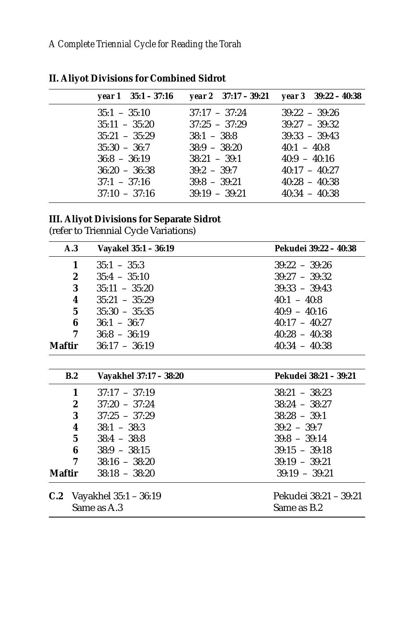| year $1 \quad 35:1 - 37:16$ |                 | year $2 \quad 37:17 - 39:21$ year $3 \quad 39:22 - 40:38$ |
|-----------------------------|-----------------|-----------------------------------------------------------|
| $35:1 - 35:10$              | $37:17 - 37:24$ | $39.22 - 39.26$                                           |
| $35:11 - 35:20$             | $37:25 - 37:29$ | $39:27 - 39:32$                                           |
| $35:21 - 35:29$             | $38:1 - 38:8$   | $39:33 - 39:43$                                           |
| $35:30 - 36:7$              | $38:9 - 38:20$  | $40:1 - 40:8$                                             |
| $36:8 - 36:19$              | $38:21 - 39:1$  | $40:9 - 40:16$                                            |
| $36:20 - 36:38$             | $39.2 - 39.7$   | $40:17 - 40:27$                                           |
| $37:1 - 37:16$              | $39:8 - 39:21$  | $40:28 - 40:38$                                           |
| $37:10 - 37:16$             | $39:19 - 39:21$ | $40:34 - 40:38$                                           |
|                             |                 |                                                           |

**II. Aliyot Divisions for Combined Sidrot**

#### **III. Aliyot Divisions for Separate Sidrot**

(refer to Triennial Cycle Variations)

|               | A.3              | Vayakel 35:1 - 36:19   | Pekudei 39:22 - 40:38 |
|---------------|------------------|------------------------|-----------------------|
|               | 1                | $35:1 - 35:3$          | $39:22 - 39:26$       |
|               | 2                | $35:4 - 35:10$         | $39:27 - 39:32$       |
|               | 3                | $35:11 - 35:20$        | $39:33 - 39:43$       |
|               | 4                | $35:21 - 35:29$        | $40:1 - 40:8$         |
|               | 5                | $35:30 - 35:35$        | $40:9 - 40:16$        |
|               | 6                | $36:1 - 36:7$          | $40:17 - 40:27$       |
|               | 7                | $36:8 - 36:19$         | $40:28 - 40:38$       |
| <b>Maftir</b> |                  | $36:17 - 36:19$        | $40:34 - 40:38$       |
|               |                  |                        |                       |
|               | B.2              | Vayakhel 37:17 - 38:20 | Pekudei 38:21 - 39:21 |
|               | 1                | $37:17 - 37:19$        | $38:21 - 38:23$       |
|               | $\boldsymbol{2}$ | $37:20 - 37:24$        | $38:24 - 38:27$       |
|               | 3                | $37:25 - 37:29$        | $38:28 - 39:1$        |
|               | 4                | $38:1 - 38:3$          | $39:2 - 39:7$         |
|               | 5                | $38:4 - 38:8$          | $39:8 - 39:14$        |
|               | 6                | $38:9 - 38:15$         | $39:15 - 39:18$       |
|               | 7                | $38:16 - 38:20$        | $39:19 - 39:21$       |
| <b>Maftir</b> |                  | $38:18 - 38:20$        | $39:19 - 39:21$       |
| C.2           |                  | Vayakhel 35:1 - 36:19  | Pekudei 38:21 – 39:21 |
|               |                  | Same as A.3            | Same as B.2           |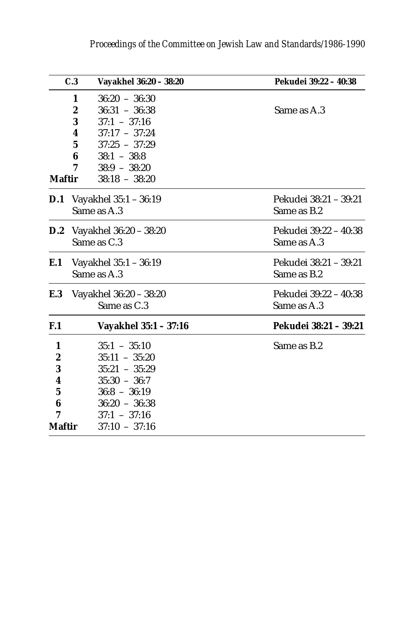|               | C.3<br>Vayakhel 36:20 - 38:20     | Pekudei 39:22 - 40:38 |
|---------------|-----------------------------------|-----------------------|
|               | $36:20 - 36:30$<br>1              |                       |
|               | 2<br>$36:31 - 36:38$              | Same as A.3           |
|               | 3<br>$37:1 - 37:16$               |                       |
|               | $37:17 - 37:24$<br>4              |                       |
|               | $37:25 - 37:29$<br>5              |                       |
|               | 6<br>$38:1 - 38:8$                |                       |
|               | 7<br>$38:9 - 38:20$               |                       |
| <b>Maftir</b> | $38:18 - 38:20$                   |                       |
| D.1           | Vayakhel 35:1 - 36:19             | Pekudei 38:21 - 39:21 |
|               | Same as A.3                       | Same as B.2           |
|               | <b>D.2</b> Vayakhel 36:20 - 38:20 | Pekudei 39:22 - 40:38 |
|               | Same as C.3                       | Same as A.3           |
| E.1           | Vayakhel 35:1 - 36:19             | Pekudei 38:21 - 39:21 |
|               | Same as A.3                       | Same as B.2           |
| E.3           | Vayakhel 36:20 - 38:20            | Pekudei 39:22 - 40:38 |
|               | Same as C.3                       | Same as A.3           |
| F.1           | Vayakhel 35:1 - 37:16             | Pekudei 38:21 - 39:21 |
| 1             | $35:1 - 35:10$                    | Same as B.2           |
| 2             | $35:11 - 35:20$                   |                       |
| 3             | $35:21 - 35:29$                   |                       |
| 4             | $35:30 - 36:7$                    |                       |
| 5             | $36:8 - 36:19$                    |                       |
| 6             | $36:20 - 36:38$                   |                       |
| 7             | $37:1 - 37:16$                    |                       |
| <b>Maftir</b> | $37:10 - 37:16$                   |                       |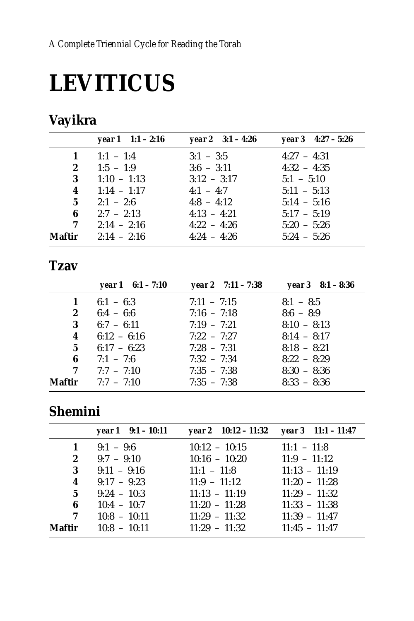# **LEVITICUS**

# Vayikra

|                | year $1 \quad 1:1 - 2:16$ | year 2 $3:1 - 4:26$ | year $3\quad 4:27 - 5:26$ |
|----------------|---------------------------|---------------------|---------------------------|
|                | 1 $1:1 - 1:4$             | $3:1 - 3:5$         | $4:27 - 4:31$             |
| $\mathbf{2}$   | $1:5 - 1:9$               | $3:6 - 3:11$        | $4:32 - 4:35$             |
| 3              | $1:10 - 1:13$             | $3:12 - 3:17$       | $5:1 - 5:10$              |
| 4              | $1:14 - 1:17$             | $4:1 - 4:7$         | $5:11 - 5:13$             |
| 5 <sup>5</sup> | $2:1 - 2:6$               | $4:8 - 4:12$        | $5:14 - 5:16$             |
| 6              | $2:7 - 2:13$              | $4:13 - 4:21$       | $5:17 - 5:19$             |
| 7              | $2:14 - 2:16$             | $4:22 - 4:26$       | $5:20 - 5:26$             |
| Maftir         | $2:14 - 2:16$             | $4:24 - 4:26$       | $5:24 - 5:26$             |

#### **Tzav**

|        | year $1 \quad 6:1 - 7:10$ | year 2 $7:11 - 7:38$ | year $3 \quad 8:1 - 8:36$ |
|--------|---------------------------|----------------------|---------------------------|
| 1      | $6:1 - 6:3$               | $7:11 - 7:15$        | $8:1 - 8:5$               |
| 2      | $6:4 - 6:6$               | $7:16 - 7:18$        | $8:6 - 8:9$               |
| 3      | $6:7 - 6:11$              | $7:19 - 7:21$        | $8:10 - 8:13$             |
| 4      | $6:12 - 6:16$             | $7:22 - 7:27$        | $8:14 - 8:17$             |
| 5      | $6:17 - 6:23$             | $7:28 - 7:31$        | $8:18 - 8:21$             |
| 6      | $7:1 - 7:6$               | $7:32 - 7:34$        | $8:22 - 8:29$             |
| 7      | $7:7 - 7:10$              | $7:35 - 7:38$        | $8:30 - 8:36$             |
| Maftir | $7:7 - 7:10$              | $7:35 - 7:38$        | $8:33 - 8:36$             |

### **Shemini**

|                         | year $1 \quad 9:1 - 10:11$ | year 2 $10:12 - 11:32$ year 3 $11:1 - 11:47$ |                 |
|-------------------------|----------------------------|----------------------------------------------|-----------------|
| 1                       | $9:1 - 9:6$                | $10:12 - 10:15$                              | $11:1 - 11:8$   |
| $\boldsymbol{2}$        | $9:7 - 9:10$               | $10:16 - 10:20$                              | $11:9 - 11:12$  |
| 3                       | $9:11 - 9:16$              | $11:1 - 11:8$                                | $11:13 - 11:19$ |
| $\overline{\mathbf{4}}$ | $9:17 - 9:23$              | $11:9 - 11:12$                               | $11:20 - 11:28$ |
| $5^{\circ}$             | $9:24 - 10:3$              | $11:13 - 11:19$                              | $11:29 - 11:32$ |
| 6                       | $10:4 - 10:7$              | $11:20 - 11:28$                              | $11:33 - 11:38$ |
| 7                       | $10:8 - 10:11$             | $11:29 - 11:32$                              | $11:39 - 11:47$ |
| Maftir                  | $10:8 - 10:11$             | $11:29 - 11:32$                              | $11:45 - 11:47$ |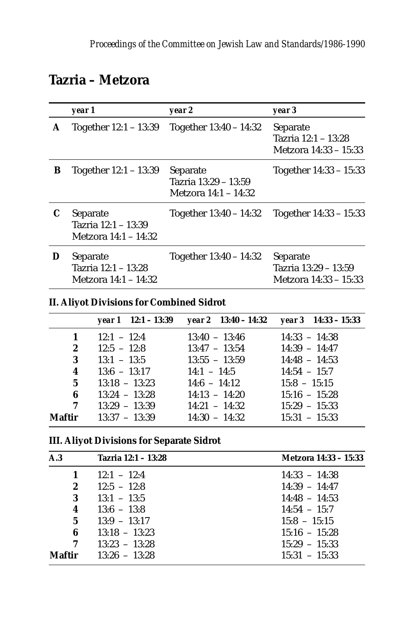#### **Tazria – Metzora**

|   | year 1                                                  | year 2                                                   | year 3                                                    |
|---|---------------------------------------------------------|----------------------------------------------------------|-----------------------------------------------------------|
| A | Together $12:1 - 13:39$                                 | Together $13:40 - 14:32$                                 | Separate<br>Tazria 12:1 - 13:28<br>Metzora 14:33 – 15:33  |
| B | Together $12:1 - 13:39$                                 | Separate<br>Tazria 13:29 - 13:59<br>Metzora 14:1 – 14:32 | Together 14:33 - 15:33                                    |
| C | Separate<br>Tazria 12:1 - 13:39<br>Metzora 14:1 – 14:32 | Together $13:40 - 14:32$                                 | Together 14:33 - 15:33                                    |
| D | Separate<br>Tazria 12:1 - 13:28<br>Metzora 14:1 – 14:32 | Together $13:40 - 14:32$                                 | Separate<br>Tazria 13:29 - 13:59<br>Metzora 14:33 – 15:33 |

#### **II. Aliyot Divisions for Combined Sidrot**

|                         | year $1 \quad 12:1 - 13:39$ |                 |                 |
|-------------------------|-----------------------------|-----------------|-----------------|
| $\mathbf{1}$            | $12:1 - 12:4$               | $13:40 - 13:46$ | $14:33 - 14:38$ |
| $\mathbf{2}$            | $12:5 - 12:8$               | $13:47 - 13:54$ | $14:39 - 14:47$ |
| 3                       | $13:1 - 13:5$               | $13:55 - 13:59$ | $14:48 - 14:53$ |
| $\overline{\mathbf{4}}$ | $13:6 - 13:17$              | $14:1 - 14:5$   | $14:54 - 15:7$  |
| 5 <sup>5</sup>          | $13:18 - 13:23$             | $14:6 - 14:12$  | $15:8 - 15:15$  |
| 6                       | $13:24 - 13:28$             | $14:13 - 14:20$ | $15:16 - 15:28$ |
| 7                       | $13:29 - 13:39$             | $14:21 - 14:32$ | $15:29 - 15:33$ |
| Maftir                  | $13:37 - 13:39$             | $14:30 - 14:32$ | $15:31 - 15:33$ |

#### **III. Aliyot Divisions for Separate Sidrot**

| A.3              | Tazria 12:1 - 13:28 | Metzora 14:33 – 15:33 |
|------------------|---------------------|-----------------------|
| 1                | $12:1 - 12:4$       | $14:33 - 14:38$       |
| $\boldsymbol{2}$ | $12:5 - 12:8$       | $14:39 - 14:47$       |
| 3                | $13:1 - 13:5$       | $14:48 - 14:53$       |
| 4                | $13:6 - 13:8$       | $14:54 - 15:7$        |
| $5\overline{ }$  | $13:9 - 13:17$      | $15:8 - 15:15$        |
| 6                | $13:18 - 13:23$     | $15:16 - 15:28$       |
| 7                | $13:23 - 13:28$     | $15:29 - 15:33$       |
| Maftir           | $13:26 - 13:28$     | $15:31 - 15:33$       |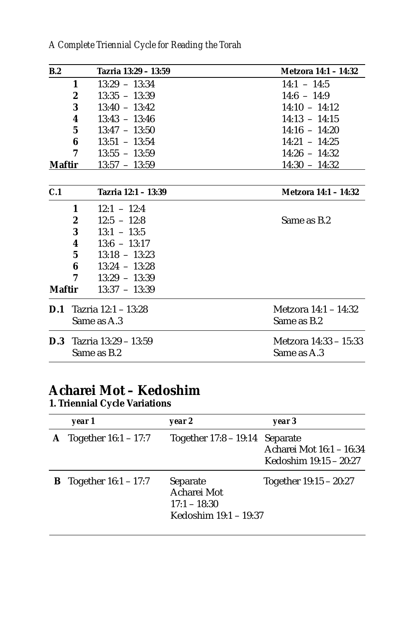|  | A Complete Triennial Cycle for Reading the Torah |  |  |  |  |  |  |  |
|--|--------------------------------------------------|--|--|--|--|--|--|--|
|--|--------------------------------------------------|--|--|--|--|--|--|--|

| B.2            | Tazria 13:29 - 13:59                | Metzora 14:1 - 14:32  |
|----------------|-------------------------------------|-----------------------|
|                | 1<br>$13:29 - 13:34$                | $14:1 - 14:5$         |
|                | $\boldsymbol{2}$<br>$13:35 - 13:39$ | $14:6 - 14:9$         |
|                | 3<br>$13:40 - 13:42$                | $14:10 - 14:12$       |
|                | 4<br>$13:43 - 13:46$                | $14:13 - 14:15$       |
|                | 5<br>$13:47 - 13:50$                | $14:16 - 14:20$       |
|                | 6<br>$13:51 - 13:54$                | $14:21 - 14:25$       |
|                | 7<br>$13:55 - 13:59$                | $14:26 - 14:32$       |
| <b>Maftir</b>  | $13:57 - 13:59$                     | $14:30 - 14:32$       |
|                |                                     |                       |
| C.1            | Tazria 12:1 - 13:39                 | Metzora 14:1 - 14:32  |
|                | $12:1 - 12:4$<br>1                  |                       |
|                | $\boldsymbol{2}$<br>$12:5 - 12:8$   | Same as B.2           |
|                | 3<br>$13:1 - 13:5$                  |                       |
|                | 4<br>$13:6 - 13:17$                 |                       |
|                | 5<br>$13:18 - 13:23$                |                       |
|                | 6<br>$13:24 - 13:28$                |                       |
|                | 7<br>$13:29 - 13:39$                |                       |
| <b>Maftir</b>  | $13:37 - 13:39$                     |                       |
| D.1            | Tazria 12:1 - 13:28                 | Metzora 14:1 – 14:32  |
|                | Same as A.3                         | Same as B.2           |
| $\mathbf{D.3}$ | Tazria 13:29 - 13:59                | Metzora 14:33 – 15:33 |
|                | Same as B.2                         | Same as A.3           |

#### **Acharei Mot – Kedoshim**

**1. Triennial Cycle Variations**

| year 1                          | year 2                                                             | year 3                                             |
|---------------------------------|--------------------------------------------------------------------|----------------------------------------------------|
| <b>A</b> Together $16:1 - 17:7$ | Together $17:8 - 19:14$ Separate                                   | Acharei Mot 16:1 - 16:34<br>Kedoshim 19:15 - 20:27 |
| <b>B</b> Together $16:1 - 17:7$ | Separate<br>Acharei Mot<br>$17:1 - 18:30$<br>Kedoshim 19:1 – 19:37 | Together $19:15 - 20:27$                           |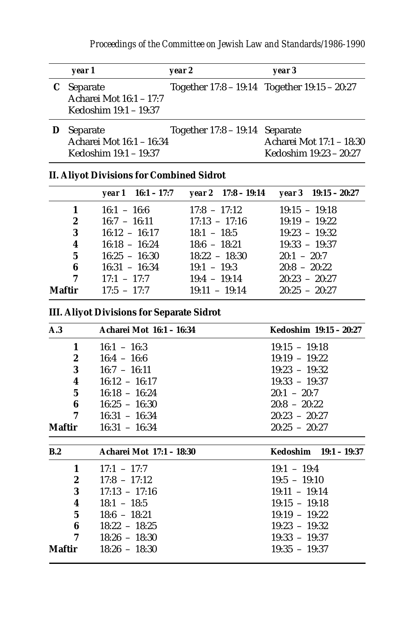| year 1                                                         | year 2                      | year 3                                                         |  |  |
|----------------------------------------------------------------|-----------------------------|----------------------------------------------------------------|--|--|
| C Separate<br>Acharei Mot 16:1 - 17:7<br>Kedoshim 19:1 – 19:37 |                             | Together 17:8 – 19:14 Together 19:15 – 20:27                   |  |  |
| Separate<br>Acharei Mot 16:1 - 16:34<br>Kedoshim 19:1 – 19:37  | Together 17:8 – 19:14       | Separate<br>Acharei Mot 17:1 - 18:30<br>Kedoshim 19:23 - 20:27 |  |  |
| <b>II. Aliyot Divisions for Combined Sidrot</b>                |                             |                                                                |  |  |
| $16:1 - 17:7$<br>year 1                                        | vear $2 \quad 17:8 - 19:14$ | $year 3$ 19:15 – 20:27                                         |  |  |
|                                                                |                             |                                                                |  |  |

|                         |                                | $\gamma$ cal 1 10.1 – 11.1 $\gamma$ cal $\lambda$ 11.0 – 13.14 $\gamma$ cal 3 13.15 – 20.21 |                 |
|-------------------------|--------------------------------|---------------------------------------------------------------------------------------------|-----------------|
| 1                       | $16:1 - 16:6$                  | $17:8 - 17:12$                                                                              | $19:15 - 19:18$ |
| $\mathbf{2}$            | $16:7 - 16:11$ $17:13 - 17:16$ |                                                                                             | $19:19 - 19:22$ |
| 3                       | $16:12 - 16:17$                | $18:1 - 18:5$                                                                               | $19:23 - 19:32$ |
| $\overline{\mathbf{4}}$ | $16:18 - 16:24$                | $18:6 - 18:21$                                                                              | $19:33 - 19:37$ |
| 5 <sup>5</sup>          | $16:25 - 16:30$                | $18:22 - 18:30$                                                                             | $20:1 - 20:7$   |
| 6                       | $16:31 - 16:34$                | $19:1 - 19:3$                                                                               | $20:8 - 20:22$  |
| $\overline{7}$          | $17:1 - 17:7$                  | $19:4 - 19:14$                                                                              | $20:23 - 20:27$ |
| Maftir                  | $17:5 - 17:7$                  | $19:11 - 19:14$                                                                             | $20:25 - 20:27$ |
|                         |                                |                                                                                             |                 |

**III. Aliyot Divisions for Separate Sidrot**

| A.3              | Acharei Mot 16:1 - 16:34 | Kedoshim 19:15 - 20:27 |
|------------------|--------------------------|------------------------|
| 1                | $16:1 - 16:3$            | $19:15 - 19:18$        |
| 2                | $16:4 - 16:6$            | $19:19 - 19:22$        |
| 3                | $16:7 - 16:11$           | $19:23 - 19:32$        |
| 4                | $16:12 - 16:17$          | $19:33 - 19:37$        |
| $5\phantom{.0}$  | $16:18 - 16:24$          | $20:1 - 20:7$          |
| 6                | $16:25 - 16:30$          | $20:8 - 20:22$         |
| 7                | $16:31 - 16:34$          | $20:23 - 20:27$        |
| Maftir           | $16:31 - 16:34$          | $20:25 - 20:27$        |
| B.2              | Acharei Mot 17:1 - 18:30 | Kedoshim 19:1 - 19:37  |
| $\mathbf{1}$     | $17:1 - 17:7$            | $19:1 - 19:4$          |
| $\boldsymbol{2}$ | $17:8 - 17:12$           | $19:5 - 19:10$         |
| 3                | $17:13 - 17:16$          | $19:11 - 19:14$        |
| 4                | $18:1 - 18:5$            | $19:15 - 19:18$        |
| $5\phantom{.0}$  | $18:6 - 18:21$           | $19:19 - 19:22$        |
| 6                | $18:22 - 18:25$          | $19:23 - 19:32$        |
| 7                | $18:26 - 18:30$          | $19:33 - 19:37$        |
| Maftir           | $18:26 - 18:30$          | $19:35 - 19:37$        |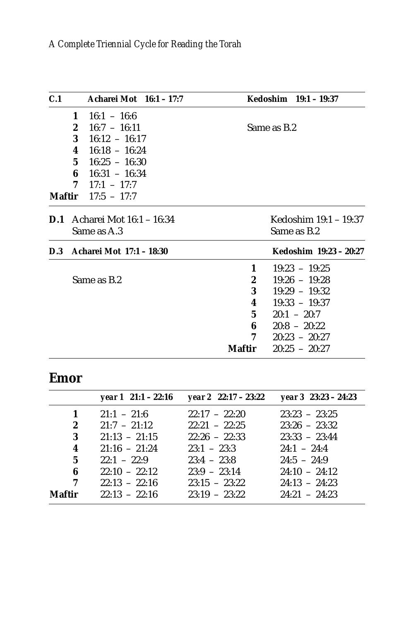| C.1 |                                                    | Acharei Mot 16:1 - 17:7                                                                                                                                               |                                                          |             | Kedoshim 19:1 - 19:37                                                                                                                             |
|-----|----------------------------------------------------|-----------------------------------------------------------------------------------------------------------------------------------------------------------------------|----------------------------------------------------------|-------------|---------------------------------------------------------------------------------------------------------------------------------------------------|
|     | $\mathbf{1}$<br>$\mathbf{2}$<br>4<br>6<br>7        | $16:1 - 16:6$<br>$16:7 - 16:11$<br>3 $16:12 - 16:17$<br>$16:18 - 16:24$<br>$5 \quad 16:25 - 16:30$<br>$16:31 - 16:34$<br>$17:1 - 17:7$<br><b>Maftir</b> $17:5 - 17:7$ |                                                          | Same as B.2 |                                                                                                                                                   |
|     | <b>D.1</b> Acharei Mot 16:1 – 16:34<br>Same as A.3 |                                                                                                                                                                       | Kedoshim 19:1 – 19:37<br>Same as B.2                     |             |                                                                                                                                                   |
|     | D.3 Acharei Mot 17:1 - 18:30                       |                                                                                                                                                                       |                                                          |             | Kedoshim 19:23 - 20:27                                                                                                                            |
|     |                                                    | Same as B.2                                                                                                                                                           | 1<br>$\boldsymbol{2}$<br>3<br>4<br>5<br>6<br>7<br>Maftir |             | $19:23 - 19:25$<br>$19:26 - 19:28$<br>$19:29 - 19:32$<br>$19:33 - 19:37$<br>$20:1 - 20:7$<br>$20:8 - 20:22$<br>$20:23 - 20:27$<br>$20:25 - 20:27$ |

### **Emor**

|                         | year $1 \quad 21:1 - 22:16$ | year 2 22:17 – 23:22 | year $3\;23:23-24:23$ |
|-------------------------|-----------------------------|----------------------|-----------------------|
| 1                       | $21:1 - 21:6$               | $22:17 - 22:20$      | $23:23 - 23:25$       |
| $\mathbf{2}$            | $21:7 - 21:12$              | $22:21 - 22:25$      | $23:26 - 23:32$       |
| 3                       | $21:13 - 21:15$             | $22:26 - 22:33$      | $23:33 - 23:44$       |
| $\overline{\mathbf{4}}$ | $21:16 - 21:24$             | $23:1 - 23:3$        | $24:1 - 24:4$         |
| 5 <sup>5</sup>          | $22:1 - 22:9$               | $23:4 - 23:8$        | $24:5 - 24:9$         |
| 6                       | $22:10 - 22:12$             | $23:9 - 23:14$       | $24:10 - 24:12$       |
| 7                       | $22:13 - 22:16$             | $23:15 - 23:22$      | $24:13 - 24:23$       |
| Maftir                  | $22:13 - 22:16$             | $23:19 - 23:22$      | $24:21 - 24:23$       |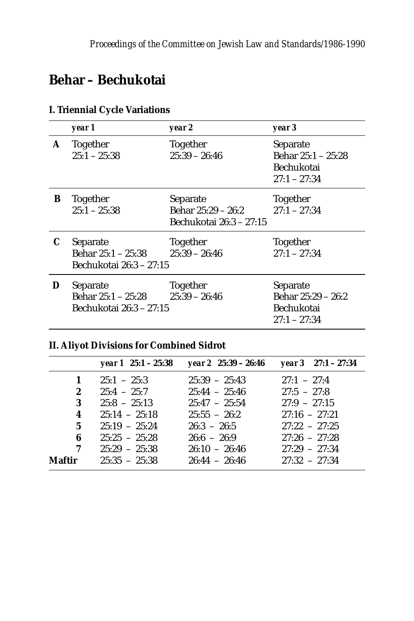## **Behar – Bechukotai**

|   | year 1                                                    | year 2                                                    | year 3                                                         |
|---|-----------------------------------------------------------|-----------------------------------------------------------|----------------------------------------------------------------|
| A | Together<br>$25:1 - 25:38$                                | Together<br>$25:39 - 26:46$                               | Separate<br>Behar 25:1 - 25:28<br>Bechukotai<br>$27:1 - 27:34$ |
| В | Together<br>$25:1 - 25:38$                                | Separate<br>Behar 25:29 – 26:2<br>Bechukotai 26:3 – 27:15 | Together<br>$27:1 - 27:34$                                     |
| C | Separate<br>Behar 25:1 – 25:38<br>Bechukotai 26:3 – 27:15 | Together<br>$25:39 - 26:46$                               | Together<br>$27:1 - 27:34$                                     |
| D | Separate<br>Behar 25:1 - 25:28<br>Bechukotai 26:3 – 27:15 | Together<br>$25:39 - 26:46$                               | Separate<br>Behar 25:29 - 26:2<br>Bechukotai<br>$27:1 - 27:34$ |

#### **I. Triennial Cycle Variations**

#### **II. Aliyot Divisions for Combined Sidrot**

|               | year $1 \t25:1 - 25:38$ | year $2\;25:39-26:46$ | vear $3 \quad 27:1 - 27:34$ |
|---------------|-------------------------|-----------------------|-----------------------------|
| $\mathbf{1}$  | $25:1 - 25:3$           | $25:39 - 25:43$       | $27:1 - 27:4$               |
| $\mathbf{2}$  | $25:4 - 25:7$           | $25:44 - 25:46$       | $27:5 - 27:8$               |
| 3             | $25:8 - 25:13$          | $25:47 - 25:54$       | $27:9 - 27:15$              |
| 4             | $25:14 - 25:18$         | $25:55 - 26:2$        | $27:16 - 27:21$             |
| $\mathbf{5}$  | $25:19 - 25:24$         | $26:3 - 26:5$         | $27:22 - 27:25$             |
| 6             | $25:25 - 25:28$         | $26:6 - 26:9$         | $27:26 - 27:28$             |
| 7             | $25:29 - 25:38$         | $26:10 - 26:46$       | $27:29 - 27:34$             |
| <b>Maftir</b> | $25:35 - 25:38$         | $26:44 - 26:46$       | $27:32 - 27:34$             |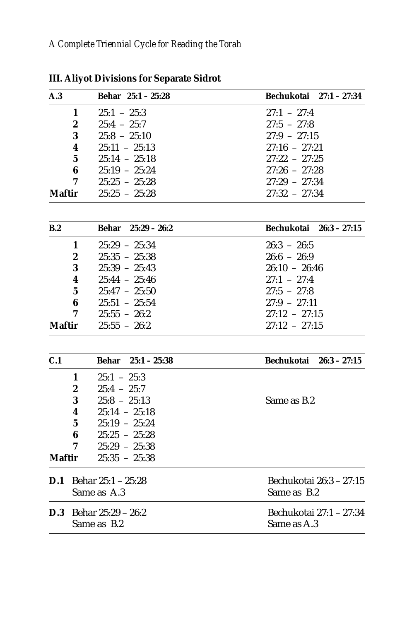| A.3           | Behar 25:1 - 25:28                  | Bechukotai 27:1 - 27:34      |
|---------------|-------------------------------------|------------------------------|
|               | $25:1 - 25:3$<br>1                  | $27:1 - 27:4$                |
|               | 2<br>$25:4 - 25:7$                  | $27:5 - 27:8$                |
|               | $25:8 - 25:10$<br>3                 | $27:9 - 27:15$               |
|               | $25:11 - 25:13$<br>4                | $27:16 - 27:21$              |
|               | $\bf 5$<br>$25:14 - 25:18$          | $27:22 - 27:25$              |
|               | 6<br>$25:19 - 25:24$                | $27:26 - 27:28$              |
|               | 7<br>$25:25 - 25:28$                | $27:29 - 27:34$              |
| <b>Maftir</b> | $25:25 - 25:28$                     | $27:32 - 27:34$              |
|               |                                     |                              |
| B.2           | Behar 25:29 - 26:2                  | Bechukotai<br>$26:3 - 27:15$ |
|               | $25:29 - 25:34$<br>1                | $26:3 - 26:5$                |
|               | $25:35 - 25:38$<br>$\boldsymbol{2}$ | $26:6 - 26:9$                |
|               | $25:39 - 25:43$<br>3                | $26:10 - 26:46$              |
|               | $25:44 - 25:46$<br>4                | $27:1 - 27:4$                |
|               | $25:47 - 25:50$<br>5                | $27:5 - 27:8$                |
|               | $25:51 - 25:54$<br>6                | $27:9 - 27:11$               |
|               | 7<br>$25:55 - 26:2$                 | $27:12 - 27:15$              |
| <b>Maftir</b> | $25:55 - 26:2$                      | $27:12 - 27:15$              |
| C.1           | $25:1 - 25:38$<br><b>Behar</b>      | Bechukotai<br>$26:3 - 27:15$ |
|               | 1<br>$25:1 - 25:3$                  |                              |
|               | $\boldsymbol{2}$<br>$25:4 - 25:7$   |                              |
|               | $25:8 - 25:13$<br>3                 | Same as B.2                  |
|               | $25:14 - 25:18$<br>4                |                              |
|               | $25:19 - 25:24$<br>$\mathbf 5$      |                              |
|               | $25:25 - 25:28$<br>6                |                              |
|               | $25:29 - 25:38$<br>7                |                              |
| <b>Maftir</b> | $25:35 - 25:38$                     |                              |
| D.1           | Behar 25:1 - 25:28                  | Bechukotai 26:3 - 27:15      |
|               | Same as A.3                         | Same as B.2                  |
|               | <b>D.3</b> Behar $25:29 - 26:2$     | Bechukotai 27:1 – 27:34      |
|               | Same as B.2                         | Same as A.3                  |

**III. Aliyot Divisions for Separate Sidrot**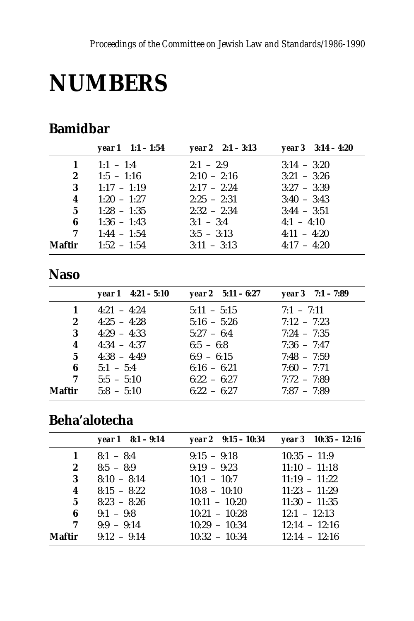# **NUMBERS**

## **Bamidbar**

|              | year $1 \quad 1:1 - 1:54$ | year 2 $2:1 - 3:13$ | year $3 \quad 3:14 - 4:20$ |
|--------------|---------------------------|---------------------|----------------------------|
| 1            | $1:1 - 1:4$               | $2:1 - 2:9$         | $3:14 - 3:20$              |
| $\mathbf{2}$ | $1:5 - 1:16$              | $2:10 - 2:16$       | $3:21 - 3:26$              |
| 3            | $1:17 - 1:19$             | $2:17 - 2:24$       | $3:27 - 3:39$              |
| 4            | $1:20 - 1:27$             | $2:25 - 2:31$       | $3:40 - 3:43$              |
| $5^{\circ}$  | $1:28 - 1:35$             | $2:32 - 2:34$       | $3:44 - 3:51$              |
| 6            | $1:36 - 1:43$             | $3:1 - 3:4$         | $4:1 - 4:10$               |
| 7            | $1:44 - 1:54$             | $3:5 - 3:13$        | $4:11 - 4:20$              |
| Maftir       | $1:52 - 1:54$             | $3:11 - 3:13$       | $4:17 - 4:20$              |

#### **Naso**

|        | year $1 \quad 4:21 - 5:10$ | year 2 $5:11 - 6:27$ | year $3 \quad 7:1 - 7:89$ |
|--------|----------------------------|----------------------|---------------------------|
| 1      | $4:21 - 4:24$              | $5:11 - 5:15$        | $7:1 - 7:11$              |
| 2      | $4:25 - 4:28$              | $5:16 - 5:26$        | $7:12 - 7:23$             |
| 3      | $4:29 - 4:33$              | $5:27 - 6:4$         | $7:24 - 7:35$             |
| 4      | $4:34 - 4:37$              | $6:5 - 6:8$          | $7:36 - 7:47$             |
| 5      | $4:38 - 4:49$              | $6:9 - 6:15$         | $7:48 - 7:59$             |
| 6      | $5:1 - 5:4$                | $6:16 - 6:21$        | $7:60 - 7:71$             |
| 7      | $5:5 - 5:10$               | $6:22 - 6:27$        | $7:72 - 7:89$             |
| Maftir | $5:8 - 5:10$               | $6:22 - 6:27$        | $7:87 - 7:89$             |

## Beha'alotecha

|              | year $1 \quad 8:1 - 9:14$ | year $2 \quad 9:15 - 10:34$ | year $3 \quad 10:35 - 12:16$ |
|--------------|---------------------------|-----------------------------|------------------------------|
| $\mathbf{1}$ | $8:1 - 8:4$               | $9:15 - 9:18$               | $10:35 - 11:9$               |
| $\mathbf{2}$ | $8:5 - 8:9$               | $9:19 - 9:23$               | $11:10 - 11:18$              |
| 3            | $8:10 - 8:14$             | $10:1 - 10:7$               | $11:19 - 11:22$              |
| 4            | $8:15 - 8:22$             | $10:8 - 10:10$              | $11:23 - 11:29$              |
| $5^{\circ}$  | $8:23 - 8:26$             | $10:11 - 10:20$             | $11:30 - 11:35$              |
| 6            | $9:1 - 9:8$               | $10:21 - 10:28$             | $12:1 - 12:13$               |
| 7            | $9:9 - 9:14$              | $10:29 - 10:34$             | $12:14 - 12:16$              |
| Maftir       | $9:12 - 9:14$             | $10:32 - 10:34$             | $12:14 - 12:16$              |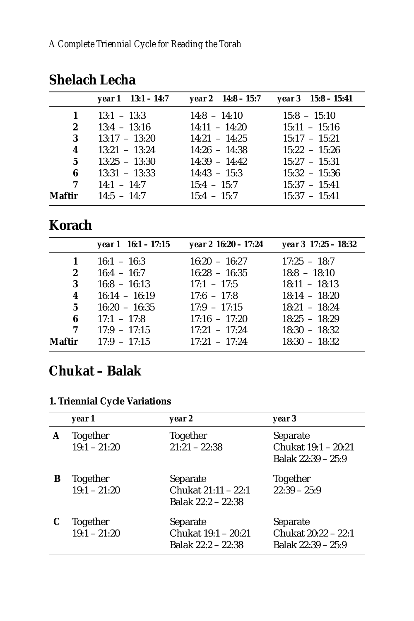|        | year $1 \quad 13:1 - 14:7$ | year 2 $14:8 - 15:7$ | year $3\quad 15:8 - 15:41$ |
|--------|----------------------------|----------------------|----------------------------|
| 1      | $13:1 - 13:3$              | $14:8 - 14:10$       | $15:8 - 15:10$             |
| 2      | $13:4 - 13:16$             | $14:11 - 14:20$      | $15:11 - 15:16$            |
| 3      | $13:17 - 13:20$            | $14:21 - 14:25$      | $15:17 - 15:21$            |
| 4      | $13:21 - 13:24$            | $14:26 - 14:38$      | $15:22 - 15:26$            |
| 5      | $13:25 - 13:30$            | $14:39 - 14:42$      | $15:27 - 15:31$            |
| 6      | $13:31 - 13:33$            | $14:43 - 15:3$       | $15:32 - 15:36$            |
| 7      | $14:1 - 14:7$              | $15:4 - 15:7$        | $15:37 - 15:41$            |
| Maftir | $14:5 - 14:7$              | $15:4 - 15:7$        | $15:37 - 15:41$            |

## **Shelach Lecha**

### **Korach**

|                  | year $1 \t16:1 - 17:15$ | year 2 16:20 – 17:24 | year 3 17:25 - 18:32 |
|------------------|-------------------------|----------------------|----------------------|
| $\mathbf 1$      | $16:1 - 16:3$           | $16:20 - 16:27$      | $17:25 - 18:7$       |
| $\boldsymbol{2}$ | $16:4 - 16:7$           | $16:28 - 16:35$      | $18:8 - 18:10$       |
| 3                | $16:8 - 16:13$          | $17:1 - 17:5$        | $18:11 - 18:13$      |
| 4                | $16:14 - 16:19$         | $17:6 - 17:8$        | $18:14 - 18:20$      |
| 5 <sup>5</sup>   | $16:20 - 16:35$         | $17:9 - 17:15$       | $18:21 - 18:24$      |
| 6                | $17:1 - 17:8$           | $17:16 - 17:20$      | $18:25 - 18:29$      |
| 7                | $17:9 - 17:15$          | $17:21 - 17:24$      | $18:30 - 18:32$      |
| Maftir           | $17:9 - 17:15$          | $17:21 - 17:24$      | $18:30 - 18:32$      |

## **Chukat – Balak**

#### **1. Triennial Cycle Variations**

|   | year 1                            | year 2                                                | year 3                                                |
|---|-----------------------------------|-------------------------------------------------------|-------------------------------------------------------|
| A | Together<br>$19:1 - 21:20$        | Together<br>$21:21 - 22:38$                           | Separate<br>Chukat 19:1 - 20:21<br>Balak 22:39 - 25:9 |
| В | Together<br>$19:1 - 21:20$        | Separate<br>Chukat 21:11 – 22:1<br>Balak 22:2 – 22:38 | Together<br>$22:39 - 25:9$                            |
|   | <b>Together</b><br>$19:1 - 21:20$ | Separate<br>Chukat 19:1 - 20:21<br>Balak 22:2 – 22:38 | Separate<br>Chukat 20:22 – 22:1<br>Balak 22:39 - 25:9 |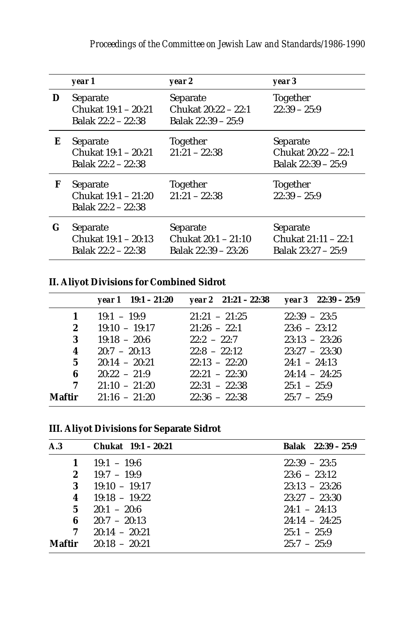|    | year 1                                                | year 2                                                 | year 3                                                |
|----|-------------------------------------------------------|--------------------------------------------------------|-------------------------------------------------------|
| D  | Separate<br>Chukat 19:1 – 20:21<br>Balak 22:2 – 22:38 | Separate<br>Chukat 20:22 – 22:1<br>Balak 22:39 – 25:9  | Together<br>$22:39 - 25:9$                            |
| Е  | Separate<br>Chukat 19:1 – 20:21<br>Balak 22:2 – 22:38 | Together<br>$21:21 - 22:38$                            | Separate<br>Chukat 20:22 – 22:1<br>Balak 22:39 – 25:9 |
| F  | Separate<br>Chukat 19:1 - 21:20<br>Balak 22:2 – 22:38 | Together<br>$21:21 - 22:38$                            | Together<br>$22:39 - 25:9$                            |
| G. | Separate<br>Chukat 19:1 - 20:13<br>Balak 22:2 - 22:38 | Separate<br>Chukat 20:1 - 21:10<br>Balak 22:39 - 23:26 | Separate<br>Chukat 21:11 - 22:1<br>Balak 23:27 - 25:9 |

#### **II. Aliyot Divisions for Combined Sidrot**

|                | year $1 \quad 19:1 - 21:20$ | year 2 $21:21 - 22:38$ | year $3$ 22:39 – 25:9 |
|----------------|-----------------------------|------------------------|-----------------------|
| $\mathbf{1}$   | $19:1 - 19:9$               | $21:21 - 21:25$        | $22:39 - 23:5$        |
| $\mathbf{2}$   | $19:10 - 19:17$             | $21:26 - 22:1$         | $23:6 - 23:12$        |
| 3              | $19:18 - 20:6$              | $22.2 - 22.7$          | $23:13 - 23:26$       |
| 4              | $20:7 - 20:13$              | $22:8 - 22:12$         | $23:27 - 23:30$       |
| 5 <sup>5</sup> | $20:14 - 20:21$             | $22:13 - 22:20$        | $24:1 - 24:13$        |
| 6              | $20:22 - 21:9$              | $22:21 - 22:30$        | $24:14 - 24:25$       |
| 7              | $21:10 - 21:20$             | $22:31 - 22:38$        | $25:1 - 25:9$         |
| Maftir         | $21:16 - 21:20$             | $22:36 - 22:38$        | $25:7 - 25:9$         |

#### **III. Aliyot Divisions for Separate Sidrot**

| A.3          | Chukat 19:1 – 20:21 | Balak 22:39 - 25:9 |
|--------------|---------------------|--------------------|
| 1            | $19:1 - 19:6$       | $22:39 - 23:5$     |
| $\mathbf{2}$ | $19:7 - 19:9$       | $23:6 - 23:12$     |
| 3            | $19:10 - 19:17$     | $23:13 - 23:26$    |
| 4            | $19:18 - 19:22$     | $23:27 - 23:30$    |
| $5^{\circ}$  | $20:1 - 20:6$       | $24:1 - 24:13$     |
| 6            | $20:7 - 20:13$      | $24:14 - 24:25$    |
| 7            | $20:14 - 20:21$     | $25:1 - 25:9$      |
| Maftir       | $20:18 - 20:21$     | $25.7 - 25.9$      |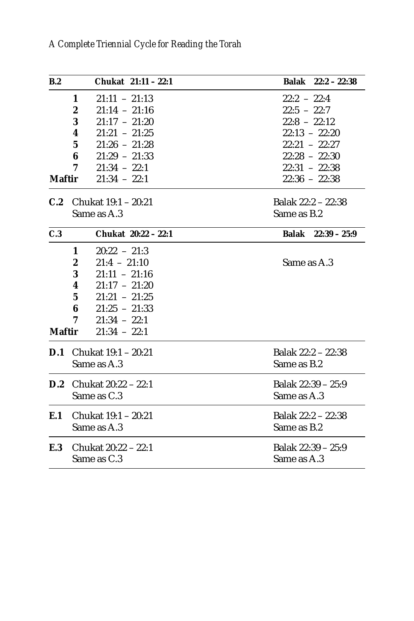| B.2           | Chukat 21:11 - 22:1                 | Balak 22:2 - 22:38 |
|---------------|-------------------------------------|--------------------|
|               | $21:11 - 21:13$<br>1                | $22:2 - 22:4$      |
|               | $21:14 - 21:16$<br>$\boldsymbol{2}$ | $22:5 - 22:7$      |
|               | 3<br>$21:17 - 21:20$                | $22:8 - 22:12$     |
|               | $21:21 - 21:25$<br>4                | $22:13 - 22:20$    |
|               | $5\overline{ }$<br>$21:26 - 21:28$  | $22:21 - 22:27$    |
|               | $21:29 - 21:33$<br>6                | $22:28 - 22:30$    |
|               | $21:34 - 22:1$<br>7                 | $22:31 - 22:38$    |
| <b>Maftir</b> | $21:34 - 22:1$                      | $22:36 - 22:38$    |
| C.2           | Chukat 19:1 – 20:21                 | Balak 22:2 - 22:38 |
|               | Same as A.3                         | Same as B.2        |
| C.3           | Chukat 20:22 - 22:1                 | Balak 22:39 - 25:9 |
|               | $20:22 - 21:3$<br>1                 |                    |
|               | $21:4 - 21:10$<br>$\boldsymbol{2}$  | Same as A.3        |
|               | $21:11 - 21:16$<br>3                |                    |
|               | 4<br>$21:17 - 21:20$                |                    |
|               | $5\overline{ }$<br>$21:21 - 21:25$  |                    |
|               | 6<br>$21:25 - 21:33$                |                    |
|               | $21:34 - 22:1$<br>7                 |                    |
| <b>Maftir</b> | $21:34 - 22:1$                      |                    |
|               | <b>D.1</b> Chukat $19:1 - 20:21$    | Balak 22:2 - 22:38 |
|               | Same as A.3                         | Same as B.2        |
|               | <b>D.2</b> Chukat $20:22 - 22:1$    | Balak 22:39 – 25:9 |
|               | Same as C.3                         | Same as A.3        |
| E.1           | Chukat 19:1 – 20:21                 | Balak 22:2 - 22:38 |
|               | Same as A.3                         | Same as B.2        |
| E.3           | Chukat 20:22 - 22:1                 | Balak 22:39 – 25:9 |
|               | Same as C.3                         | Same as A.3        |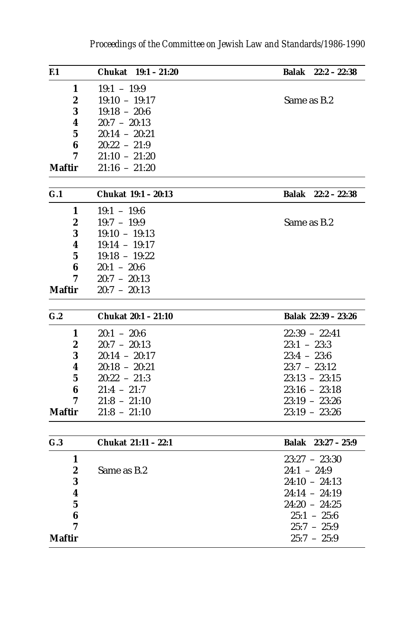| F <sub>1</sub>   | Chukat<br>$19:1 - 21:20$ | <b>Balak</b><br>$22:2 - 22:38$ |
|------------------|--------------------------|--------------------------------|
| 1                | $19:1 - 19:9$            |                                |
| 2                | 19:10 - 19:17            | Same as B.2                    |
| 3                | $19:18 - 20:6$           |                                |
| 4                | $20:7 - 20:13$           |                                |
| 5                | $20:14 - 20:21$          |                                |
| 6                | $20:22 - 21:9$           |                                |
| 7                | $21:10 - 21:20$          |                                |
| Maftir           | $21:16 - 21:20$          |                                |
| G.1              | Chukat 19:1 - 20:13      | Balak<br>$22:2 - 22:38$        |
| 1                | $19:1 - 19:6$            |                                |
| 2                | $19:7 - 19:9$            | Same as B.2                    |
| 3                | $19:10 - 19:13$          |                                |
| 4                | $19:14 - 19:17$          |                                |
| 5                | $19:18 - 19:22$          |                                |
| 6                | $20:1 - 20:6$            |                                |
| 7                | $20:7 - 20:13$           |                                |
| Maftir           | $20:7 - 20:13$           |                                |
|                  |                          |                                |
| G.2              | Chukat 20:1 - 21:10      | Balak 22:39 - 23:26            |
| 1                | $20:1 - 20:6$            | $22:39 - 22:41$                |
| $\boldsymbol{2}$ | $20:7 - 20:13$           | $23:1 - 23:3$                  |
| 3                | $20:14 - 20:17$          | $23:4 - 23:6$                  |
| 4                | $20:18 - 20:21$          | $23:7 - 23:12$                 |
| 5                | $20:22 - 21:3$           | $23:13 - 23:15$                |
| 6                | $21:4 - 21:7$            | $23:16 - 23:18$                |
| 7                | $21:8 - 21:10$           | $23:19 - 23:26$                |
| Maftir           | 21:8 - 21:10             | $23:19 - 23:26$                |
| G.3              | Chukat 21:11 - 22:1      | Balak<br>$23:27 - 25:9$        |
|                  |                          |                                |
| 1                |                          | $23:27 - 23:30$                |
| 2                | Same as B.2              | $24:1 - 24:9$                  |
| 3                |                          | $24:10 - 24:13$                |
| 4                |                          | $24:14 - 24:19$                |
| 5                |                          | $24:20 - 24:25$                |
| 6                |                          | $25:1 - 25:6$                  |
| 7                |                          | $25:7 - 25:9$                  |
| Maftir           |                          | $25:7 - 25:9$                  |
|                  |                          |                                |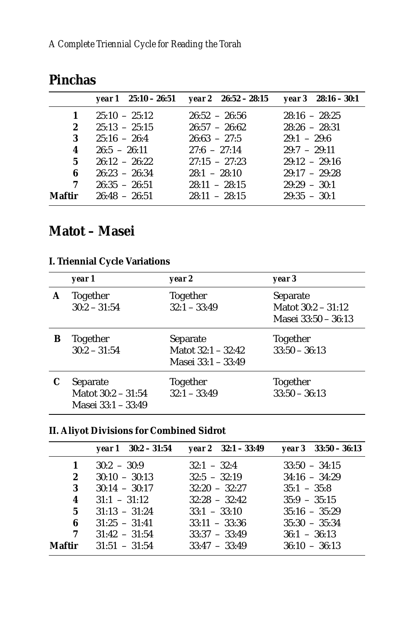|              |                               | year 1 $25:10 - 26:51$ year 2 $26:52 - 28:15$ year 3 $28:16 - 30:1$ |                 |
|--------------|-------------------------------|---------------------------------------------------------------------|-----------------|
| $\mathbf{1}$ | $25:10 - 25:12$               | $26:52 - 26:56$                                                     | $28:16 - 28:25$ |
| $2^{\circ}$  | $25:13 - 25:15$               | $26:57 - 26:62$                                                     | $28:26 - 28:31$ |
| 3            | $25:16 - 26:4$                | $26:63 - 27:5$                                                      | $29:1 - 29:6$   |
| 4            | $26:5 - 26:11$                | $27.6 - 27.14$                                                      | $29:7 - 29:11$  |
| $5^{\circ}$  | $26:12 - 26:22$               | $27:15 - 27:23$                                                     | $29:12 - 29:16$ |
| 6            | $26:23 - 26:34$               | $28:1 - 28:10$                                                      | $29:17 - 29:28$ |
| 7            | $26:35 - 26:51$               | $28:11 - 28:15$                                                     | $29:29 - 30:1$  |
|              | <b>Maftir</b> $26:48 - 26:51$ | $28:11 - 28:15$                                                     | $29:35 - 30:1$  |

#### **Pinchas**

## **Matot – Masei**

#### **I. Triennial Cycle Variations**

|   | year 1                                                 | year 2                                                 | year 3                                                  |
|---|--------------------------------------------------------|--------------------------------------------------------|---------------------------------------------------------|
| A | <b>Together</b><br>$30:2 - 31:54$                      | Together<br>$32:1 - 33:49$                             | Separate<br>Mator $30:2 - 31:12$<br>Masei 33:50 - 36:13 |
| В | <b>Together</b><br>$30:2 - 31:54$                      | Separate<br>Mator $32:1 - 32:42$<br>Masei 33:1 - 33:49 | Together<br>$33:50 - 36:13$                             |
|   | Separate<br>Mator $30:2 - 31:54$<br>Masei 33:1 - 33:49 | Together<br>$32:1 - 33:49$                             | Together<br>$33:50 - 36:13$                             |

#### **II. Aliyot Divisions for Combined Sidrot**

|                  | year $1 \quad 30:2 - 31:54$ | year $2 \quad 32:1 - 33:49$ | $year 3$ 33:50 – 36:13 |
|------------------|-----------------------------|-----------------------------|------------------------|
| 1                | $30:2 - 30:9$               | $32:1 - 32:4$               | $33:50 - 34:15$        |
| $\boldsymbol{2}$ | $30:10 - 30:13$             | $32:5 - 32:19$              | $34:16 - 34:29$        |
| 3                | $30:14 - 30:17$             | $32:20 - 32:27$             | $35:1 - 35:8$          |
| 4                | $31:1 - 31:12$              | $32:28 - 32:42$             | $35:9 - 35:15$         |
| 5 <sup>5</sup>   | $31:13 - 31:24$             | $33:1 - 33:10$              | $35:16 - 35:29$        |
| 6                | $31:25 - 31:41$             | $33:11 - 33:36$             | $35:30 - 35:34$        |
| $7\phantom{.0}$  | $31:42 - 31:54$             | $33:37 - 33:49$             | $36:1 - 36:13$         |
| Maftir           | $31:51 - 31:54$             | $33:47 - 33:49$             | $36:10 - 36:13$        |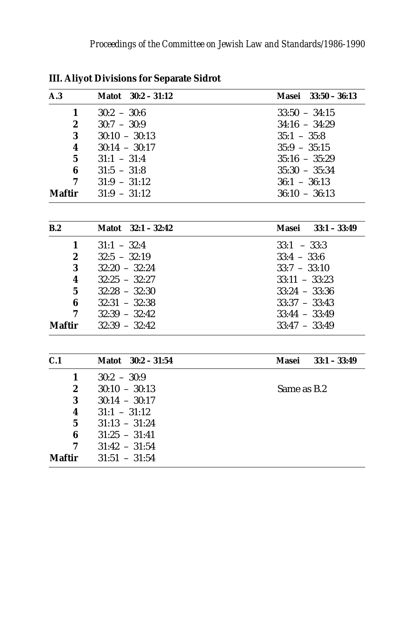| A.3              | Matot $30:2 - 31:12$ | Masei 33:50 - 36:13     |
|------------------|----------------------|-------------------------|
| 1                | $30:2 - 30:6$        | $33:50 - 34:15$         |
| $\boldsymbol{2}$ | $30:7 - 30:9$        | $34:16 - 34:29$         |
| 3                | $30:10 - 30:13$      | $35:1 - 35:8$           |
| 4                | $30:14 - 30:17$      | $35:9 - 35:15$          |
| $\mathbf 5$      | $31:1 - 31:4$        | $35:16 - 35:29$         |
| 6                | $31:5 - 31:8$        | $35:30 - 35:34$         |
| 7                | $31:9 - 31:12$       | $36:1 - 36:13$          |
| <b>Maftir</b>    | $31:9 - 31:12$       | $36:10 - 36:13$         |
| B.2              | Matot 32:1 - 32:42   | Masei 33:1 - 33:49      |
| 1                | $31:1 - 32:4$        | $33:1 - 33:3$           |
| $\boldsymbol{2}$ | $32:5 - 32:19$       | $33:4 - 33:6$           |
| $\bf{3}$         | $32:20 - 32:24$      | $33:7 - 33:10$          |
| 4                | $32:25 - 32:27$      | $33:11 - 33:23$         |
| $\mathbf 5$      | $32:28 - 32:30$      | $33:24 - 33:36$         |
| 6                | $32:31 - 32:38$      | $33:37 - 33:43$         |
| 7                | $32:39 - 32:42$      | $33:44 - 33:49$         |
| <b>Maftir</b>    | $32:39 - 32:42$      | $33:47 - 33:49$         |
| C.1              | Matot 30:2 - 31:54   | $33:1 - 33:49$<br>Masei |
| 1                | $30:2 - 30:9$        |                         |
| $\boldsymbol{2}$ | $30:10 - 30:13$      | Same as B.2             |
| 3                | $30:14 - 30:17$      |                         |
| 4                | $31:1 - 31:12$       |                         |
| $\mathbf 5$      | $31:13 - 31:24$      |                         |
| 6                | $31:25 - 31:41$      |                         |
| 7                | $31:42 - 31:54$      |                         |
| <b>Maftir</b>    | $31:51 - 31:54$      |                         |
|                  |                      |                         |

**III. Aliyot Divisions for Separate Sidrot**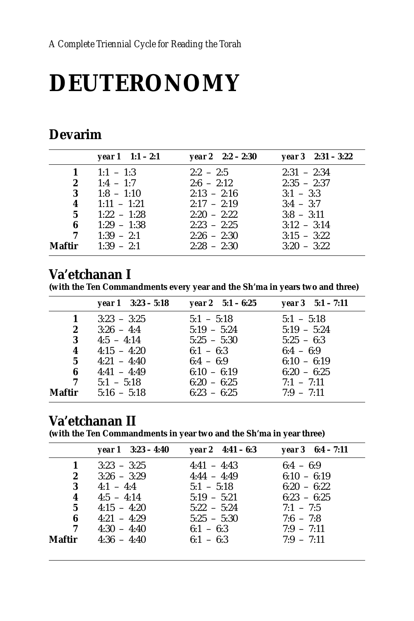# **DEUTERONOMY**

### **Devarim**

|                | year $1 \t1:1 - 2:1$ | year $2 \quad 2:2 - 2:30$ | year $3 \quad 2:31 - 3:22$ |
|----------------|----------------------|---------------------------|----------------------------|
| $\mathbf{1}$   | $1:1 - 1:3$          | $2:2 - 2:5$               | $2:31 - 2:34$              |
| $\mathbf{2}$   | $1:4 - 1:7$          | $2:6 - 2:12$              | $2:35 - 2:37$              |
| $3 -$          | $1:8 - 1:10$         | $2:13 - 2:16$             | $3:1 - 3:3$                |
| 4              | $1:11 - 1:21$        | $2:17 - 2:19$             | $3:4 - 3:7$                |
| 5 <sup>5</sup> | $1:22 - 1:28$        | $2:20 - 2:22$             | $3:8 - 3:11$               |
| 6              | $1:29 - 1:38$        | $2:23 - 2:25$             | $3:12 - 3:14$              |
| $\overline{7}$ | $1:39 - 2:1$         | $2:26 - 2:30$             | $3:15 - 3:22$              |
| Maftir         | $1:39 - 2:1$         | $2:28 - 2:30$             | $3:20 - 3:22$              |

#### Va'etchanan I

(with the Ten Commandments every year and the Sh'ma in years two and three)

|             | year $1 \quad 3:23 - 5:18$ | year 2 $5:1 - 6:25$ | year $3 \quad 5:1 - 7:11$ |
|-------------|----------------------------|---------------------|---------------------------|
| 1           | $3:23 - 3:25$              | $5:1 - 5:18$        | $5:1 - 5:18$              |
| 2           | $3:26 - 4:4$               | $5:19 - 5:24$       | $5:19 - 5:24$             |
| 3           | $4:5 - 4:14$               | $5:25 - 5:30$       | $5:25 - 6:3$              |
| 4           | $4:15 - 4:20$              | $6:1 - 6:3$         | $6:4 - 6:9$               |
| $5^{\circ}$ | $4:21 - 4:40$              | $6:4 - 6:9$         | $6:10 - 6:19$             |
| 6           | $4:41 - 4:49$              | $6:10 - 6:19$       | $6:20 - 6:25$             |
| 7           | $5:1 - 5:18$               | $6:20 - 6:25$       | $7:1 - 7:11$              |
| Maftir      | $5:16 - 5:18$              | $6:23 - 6:25$       | $7:9 - 7:11$              |

#### Va'etchanan II

(with the Ten Commandments in year two and the Sh'ma in year three)

|        | year $1 \quad 3:23 - 4:40$ | year 2 $4:41 - 6:3$ | year $3 \quad 6:4 - 7:11$ |
|--------|----------------------------|---------------------|---------------------------|
| 1      | $3:23 - 3:25$              | $4:41 - 4:43$       | $6:4 - 6:9$               |
| 2      | $3:26 - 3:29$              | $4:44 - 4:49$       | $6:10 - 6:19$             |
| 3      | $4:1 - 4:4$                | $5:1 - 5:18$        | $6:20 - 6:22$             |
| 4      | $4:5 - 4:14$               | $5:19 - 5:21$       | $6:23 - 6:25$             |
| 5      | $4:15 - 4:20$              | $5:22 - 5:24$       | $7:1 - 7:5$               |
| 6      | $4:21 - 4:29$              | $5:25 - 5:30$       | $7:6 - 7:8$               |
| 7      | $4:30 - 4:40$              | $6:1 - 6:3$         | $7:9 - 7:11$              |
| Maftir | $4:36 - 4:40$              | $6:1 - 6:3$         | $7:9 - 7:11$              |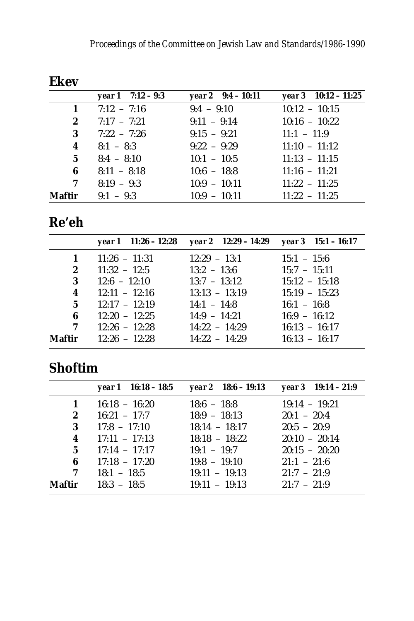| year $1 \quad 7:12 - 9:3$ | year $2 \quad 9:4 - 10:11$ | year $3 \quad 10:12 - 11:25$ |
|---------------------------|----------------------------|------------------------------|
| $7:12 - 7:16$             | $9:4 - 9:10$               | $10:12 - 10:15$              |
| $7:17 - 7:21$             | $9:11 - 9:14$              | $10:16 - 10:22$              |
| $7:22 - 7:26$             | $9:15 - 9:21$              | $11:1 - 11:9$                |
| $8:1 - 8:3$               | $9:22 - 9:29$              | $11:10 - 11:12$              |
| $8:4 - 8:10$              | $10:1 - 10:5$              | $11:13 - 11:15$              |
| $8:11 - 8:18$             | $10:6 - 18:8$              | $11:16 - 11:21$              |
| $8:19 - 9:3$              | $10:9 - 10:11$             | $11:22 - 11:25$              |
| $9:1 - 9:3$               | $10:9 - 10:11$             | $11:22 - 11:25$              |
|                           |                            |                              |

#### Fkev

## Re'eh

|                         |                      | year 1 $11:26 - 12:28$ year 2 $12:29 - 14:29$ year 3 $15:1 - 16:17$ |                 |
|-------------------------|----------------------|---------------------------------------------------------------------|-----------------|
| $\mathbf{1}$            | $11:26 - 11:31$      | $12:29 - 13:1$                                                      | $15:1 - 15:6$   |
| $\mathbf{2}$            | $11:32 - 12:5$       | $13:2 - 13:6$                                                       | $15:7 - 15:11$  |
| 3                       | $12:6 - 12:10$       | $13:7 - 13:12$                                                      | $15:12 - 15:18$ |
| $\overline{\mathbf{4}}$ | $12:11 - 12:16$      | $13:13 - 13:19$                                                     | $15:19 - 15:23$ |
|                         | $5 \t 12:17 - 12:19$ | $14:1 - 14:8$                                                       | $16:1 - 16:8$   |
| 6                       | $12:20 - 12:25$      | $14:9 - 14:21$                                                      | $16:9 - 16:12$  |
| 7                       | $12:26 - 12:28$      | $14:22 - 14:29$                                                     | $16:13 - 16:17$ |
| Maftir                  | $12:26 - 12:28$      | $14:22 - 14:29$                                                     | $16:13 - 16:17$ |

## **Shoftim**

|                | year $1 \quad 16:18 - 18:5$   | year 2 $18:6 - 19:13$ | year $3 \quad 19:14 - 21:9$ |
|----------------|-------------------------------|-----------------------|-----------------------------|
| 1              | $16:18 - 16:20$               | $18:6 - 18:8$         | $19:14 - 19:21$             |
| $\mathbf{2}$   | $16:21 - 17:7$                | $18:9 - 18:13$        | $20:1 - 20:4$               |
| 3              | $17:8 - 17:10$                | $18:14 - 18:17$       | $20:5 - 20:9$               |
| $\overline{4}$ | $17:11 - 17:13$               | $18:18 - 18:22$       | $20:10 - 20:14$             |
|                | $5 \qquad 17:14 \qquad 17:17$ | $19:1 - 19:7$         | $20:15 - 20:20$             |
| 6              | $17:18 - 17:20$               | $19:8 - 19:10$        | $21:1 - 21:6$               |
| 7              | $18:1 - 18:5$                 | $19:11 - 19:13$       | $21:7 - 21:9$               |
| Maftir         | $18:3 - 18:5$                 | $19:11 - 19:13$       | $21:7 - 21:9$               |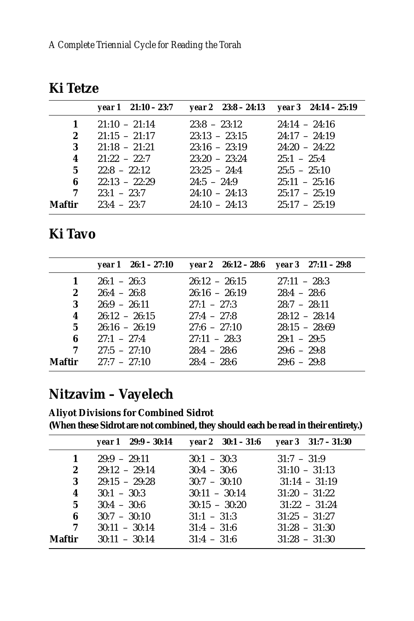|              | year $1 \quad 21:10 - 23:7$   |                 | year 2 $23:8 - 24:13$ year 3 $24:14 - 25:19$ |
|--------------|-------------------------------|-----------------|----------------------------------------------|
| $\mathbf{1}$ | $21:10 - 21:14$               | $23:8 - 23:12$  | $24:14 - 24:16$                              |
| $\mathbf{2}$ | $21:15 - 21:17$               | $23:13 - 23:15$ | $24:17 - 24:19$                              |
| 3            | $21:18 - 21:21$               | $23:16 - 23:19$ | $24:20 - 24:22$                              |
| 4            | $21:22 - 22:7$                | $23:20 - 23:24$ | $25:1 - 25:4$                                |
| $5^{\circ}$  | $22.8 - 22.12$                | $23:25 - 24:4$  | $25:5 - 25:10$                               |
| 6            | $22:13 - 22:29$               | $24:5 - 24:9$   | $25:11 - 25:16$                              |
| 7            | $23:1 - 23:7$ $24:10 - 24:13$ |                 | $25:17 - 25:19$                              |
| Maftir       | $23:4 - 23:7$                 | $24:10 - 24:13$ | $25:17 - 25:19$                              |

#### **Ki Tavo**

|                         | year $1 \quad 26:1 - 27:10$  | year 2 $26:12 - 28:6$ year 3 $27:11 - 29:8$ |                 |
|-------------------------|------------------------------|---------------------------------------------|-----------------|
| 1                       | $26:1 - 26:3$                | $26:12 - 26:15$                             | $27:11 - 28:3$  |
| $2^{\circ}$             | $26:4 - 26:8$                | $26:16 - 26:19$                             | $28:4 - 28:6$   |
| 3                       | $26:9 - 26:11$               | $27:1 - 27:3$                               | $28:7 - 28:11$  |
| $\overline{\mathbf{4}}$ | $26:12 - 26:15$              | $27:4 - 27:8$                               | $28:12 - 28:14$ |
| 5 <sup>5</sup>          | $26:16 - 26:19$              | $27:6 - 27:10$                              | $28:15 - 28:69$ |
| 6                       | $27:1 - 27:4$                | $27:11 - 28:3$                              | $29:1 - 29:5$   |
| $7\degree$              | $27:5 - 27:10$               | $28:4 - 28:6$                               | $29:6 - 29:8$   |
|                         | <b>Maftir</b> $27:7 - 27:10$ | $28:4 - 28:6$                               | $29:6 - 29:8$   |

## **Nitzavim – Vayelech**

**Aliyot Divisions for Combined Sidrot (When these Sidrot are not combined, they should each be read in their entirety.)**

|        | year $1 \quad 29:9 - 30:14$        | year $2 \quad 30:1 - 31:6$       | year $3 \quad 31:7 - 31:30$        |
|--------|------------------------------------|----------------------------------|------------------------------------|
| 1      | $29:9 - 29:11$                     | $30:1 - 30:3$                    | $31:7 - 31:9$                      |
| 2<br>3 | $29:12 - 29:14$<br>$29:15 - 29:28$ | $30:4 - 30:6$<br>$30:7 - 30:10$  | $31:10 - 31:13$<br>$31:14 - 31:19$ |
| 4      | $30:1 - 30:3$                      | $30:11 - 30:14$                  | $31:20 - 31:22$                    |
| 5<br>6 | $30:4 - 30:6$<br>$30:7 - 30:10$    | $30:15 - 30:20$<br>$31:1 - 31:3$ | $31:22 - 31:24$<br>$31:25 - 31:27$ |
| 7      | $30:11 - 30:14$                    | $31:4 - 31:6$                    | $31:28 - 31:30$                    |
| Maftir | $30:11 - 30:14$                    | $31:4 - 31:6$                    | $31:28 - 31:30$                    |